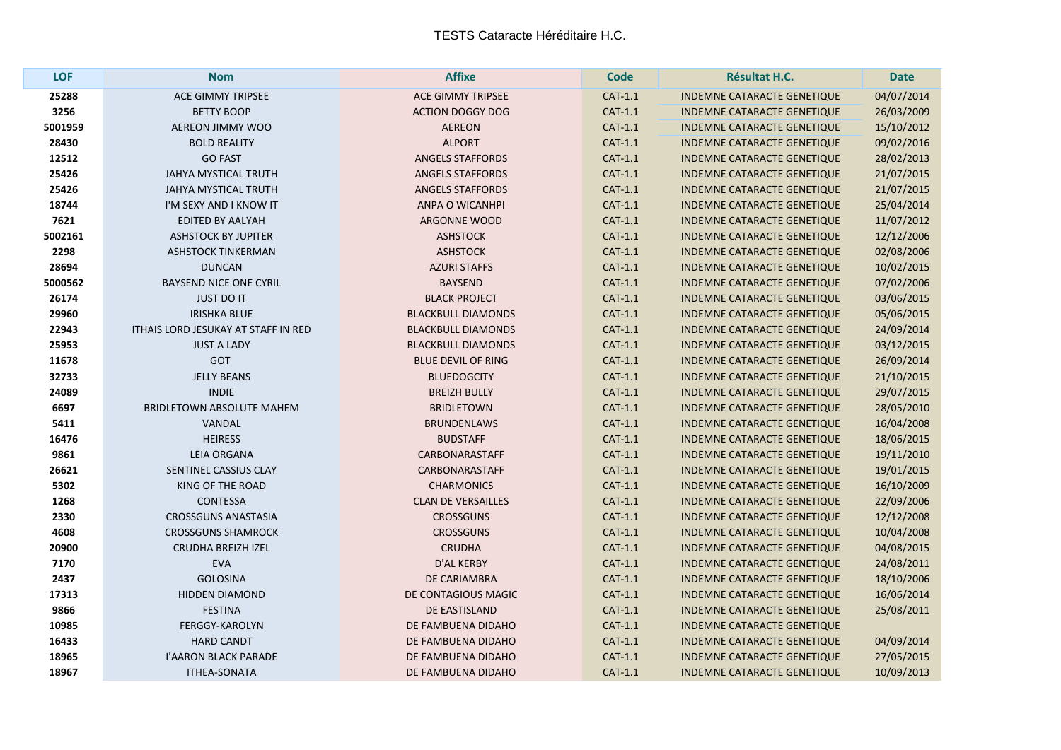| <b>LOF</b> | <b>Nom</b>                                 | <b>Affixe</b>             | <b>Code</b> | <b>Résultat H.C.</b>               | <b>Date</b> |
|------------|--------------------------------------------|---------------------------|-------------|------------------------------------|-------------|
| 25288      | <b>ACE GIMMY TRIPSEE</b>                   | <b>ACE GIMMY TRIPSEE</b>  | CAT-1.1     | <b>INDEMNE CATARACTE GENETIQUE</b> | 04/07/2014  |
| 3256       | <b>BETTY BOOP</b>                          | <b>ACTION DOGGY DOG</b>   | CAT-1.1     | INDEMNE CATARACTE GENETIQUE        | 26/03/2009  |
| 5001959    | AEREON JIMMY WOO                           | <b>AEREON</b>             | CAT-1.1     | <b>INDEMNE CATARACTE GENETIQUE</b> | 15/10/2012  |
| 28430      | <b>BOLD REALITY</b>                        | <b>ALPORT</b>             | CAT-1.1     | <b>INDEMNE CATARACTE GENETIQUE</b> | 09/02/2016  |
| 12512      | <b>GO FAST</b>                             | <b>ANGELS STAFFORDS</b>   | CAT-1.1     | <b>INDEMNE CATARACTE GENETIQUE</b> | 28/02/2013  |
| 25426      | JAHYA MYSTICAL TRUTH                       | <b>ANGELS STAFFORDS</b>   | CAT-1.1     | INDEMNE CATARACTE GENETIQUE        | 21/07/2015  |
| 25426      | <b>JAHYA MYSTICAL TRUTH</b>                | <b>ANGELS STAFFORDS</b>   | CAT-1.1     | <b>INDEMNE CATARACTE GENETIQUE</b> | 21/07/2015  |
| 18744      | I'M SEXY AND I KNOW IT                     | ANPA O WICANHPI           | CAT-1.1     | <b>INDEMNE CATARACTE GENETIQUE</b> | 25/04/2014  |
| 7621       | <b>EDITED BY AALYAH</b>                    | <b>ARGONNE WOOD</b>       | CAT-1.1     | <b>INDEMNE CATARACTE GENETIQUE</b> | 11/07/2012  |
| 5002161    | <b>ASHSTOCK BY JUPITER</b>                 | <b>ASHSTOCK</b>           | CAT-1.1     | <b>INDEMNE CATARACTE GENETIQUE</b> | 12/12/2006  |
| 2298       | ASHSTOCK TINKERMAN                         | <b>ASHSTOCK</b>           | CAT-1.1     | <b>INDEMNE CATARACTE GENETIQUE</b> | 02/08/2006  |
| 28694      | <b>DUNCAN</b>                              | <b>AZURI STAFFS</b>       | CAT-1.1     | <b>INDEMNE CATARACTE GENETIQUE</b> | 10/02/2015  |
| 5000562    | <b>BAYSEND NICE ONE CYRIL</b>              | <b>BAYSEND</b>            | CAT-1.1     | <b>INDEMNE CATARACTE GENETIQUE</b> | 07/02/2006  |
| 26174      | <b>JUST DO IT</b>                          | <b>BLACK PROJECT</b>      | CAT-1.1     | <b>INDEMNE CATARACTE GENETIQUE</b> | 03/06/2015  |
| 29960      | <b>IRISHKA BLUE</b>                        | <b>BLACKBULL DIAMONDS</b> | CAT-1.1     | <b>INDEMNE CATARACTE GENETIQUE</b> | 05/06/2015  |
| 22943      | <b>ITHAIS LORD JESUKAY AT STAFF IN RED</b> | <b>BLACKBULL DIAMONDS</b> | CAT-1.1     | <b>INDEMNE CATARACTE GENETIQUE</b> | 24/09/2014  |
| 25953      | <b>JUST A LADY</b>                         | <b>BLACKBULL DIAMONDS</b> | CAT-1.1     | <b>INDEMNE CATARACTE GENETIQUE</b> | 03/12/2015  |
| 11678      | <b>GOT</b>                                 | <b>BLUE DEVIL OF RING</b> | CAT-1.1     | <b>INDEMNE CATARACTE GENETIQUE</b> | 26/09/2014  |
| 32733      | <b>JELLY BEANS</b>                         | <b>BLUEDOGCITY</b>        | CAT-1.1     | <b>INDEMNE CATARACTE GENETIQUE</b> | 21/10/2015  |
| 24089      | <b>INDIE</b>                               | <b>BREIZH BULLY</b>       | CAT-1.1     | <b>INDEMNE CATARACTE GENETIQUE</b> | 29/07/2015  |
| 6697       | <b>BRIDLETOWN ABSOLUTE MAHEM</b>           | <b>BRIDLETOWN</b>         | CAT-1.1     | INDEMNE CATARACTE GENETIQUE        | 28/05/2010  |
| 5411       | <b>VANDAL</b>                              | <b>BRUNDENLAWS</b>        | CAT-1.1     | <b>INDEMNE CATARACTE GENETIQUE</b> | 16/04/2008  |
| 16476      | <b>HEIRESS</b>                             | <b>BUDSTAFF</b>           | CAT-1.1     | <b>INDEMNE CATARACTE GENETIQUE</b> | 18/06/2015  |
| 9861       | <b>LEIA ORGANA</b>                         | CARBONARASTAFF            | CAT-1.1     | <b>INDEMNE CATARACTE GENETIQUE</b> | 19/11/2010  |
| 26621      | SENTINEL CASSIUS CLAY                      | <b>CARBONARASTAFF</b>     | CAT-1.1     | <b>INDEMNE CATARACTE GENETIQUE</b> | 19/01/2015  |
| 5302       | <b>KING OF THE ROAD</b>                    | <b>CHARMONICS</b>         | CAT-1.1     | <b>INDEMNE CATARACTE GENETIQUE</b> | 16/10/2009  |
| 1268       | <b>CONTESSA</b>                            | <b>CLAN DE VERSAILLES</b> | CAT-1.1     | INDEMNE CATARACTE GENETIQUE        | 22/09/2006  |
| 2330       | <b>CROSSGUNS ANASTASIA</b>                 | <b>CROSSGUNS</b>          | CAT-1.1     | <b>INDEMNE CATARACTE GENETIQUE</b> | 12/12/2008  |
| 4608       | <b>CROSSGUNS SHAMROCK</b>                  | <b>CROSSGUNS</b>          | CAT-1.1     | INDEMNE CATARACTE GENETIQUE        | 10/04/2008  |
| 20900      | <b>CRUDHA BREIZH IZEL</b>                  | <b>CRUDHA</b>             | CAT-1.1     | <b>INDEMNE CATARACTE GENETIQUE</b> | 04/08/2015  |
| 7170       | <b>EVA</b>                                 | D'AL KERBY                | CAT-1.1     | INDEMNE CATARACTE GENETIQUE        | 24/08/2011  |
| 2437       | <b>GOLOSINA</b>                            | <b>DE CARIAMBRA</b>       | CAT-1.1     | <b>INDEMNE CATARACTE GENETIQUE</b> | 18/10/2006  |
| 17313      | <b>HIDDEN DIAMOND</b>                      | DE CONTAGIOUS MAGIC       | CAT-1.1     | INDEMNE CATARACTE GENETIQUE        | 16/06/2014  |
| 9866       | <b>FESTINA</b>                             | DE EASTISLAND             | CAT-1.1     | <b>INDEMNE CATARACTE GENETIQUE</b> | 25/08/2011  |
| 10985      | FERGGY-KAROLYN                             | DE FAMBUENA DIDAHO        | CAT-1.1     | INDEMNE CATARACTE GENETIQUE        |             |
| 16433      | <b>HARD CANDT</b>                          | DE FAMBUENA DIDAHO        | CAT-1.1     | <b>INDEMNE CATARACTE GENETIQUE</b> | 04/09/2014  |
| 18965      | <b>I'AARON BLACK PARADE</b>                | DE FAMBUENA DIDAHO        | CAT-1.1     | <b>INDEMNE CATARACTE GENETIQUE</b> | 27/05/2015  |
| 18967      | <b>ITHEA-SONATA</b>                        | DE FAMBUENA DIDAHO        | CAT-1.1     | <b>INDEMNE CATARACTE GENETIQUE</b> | 10/09/2013  |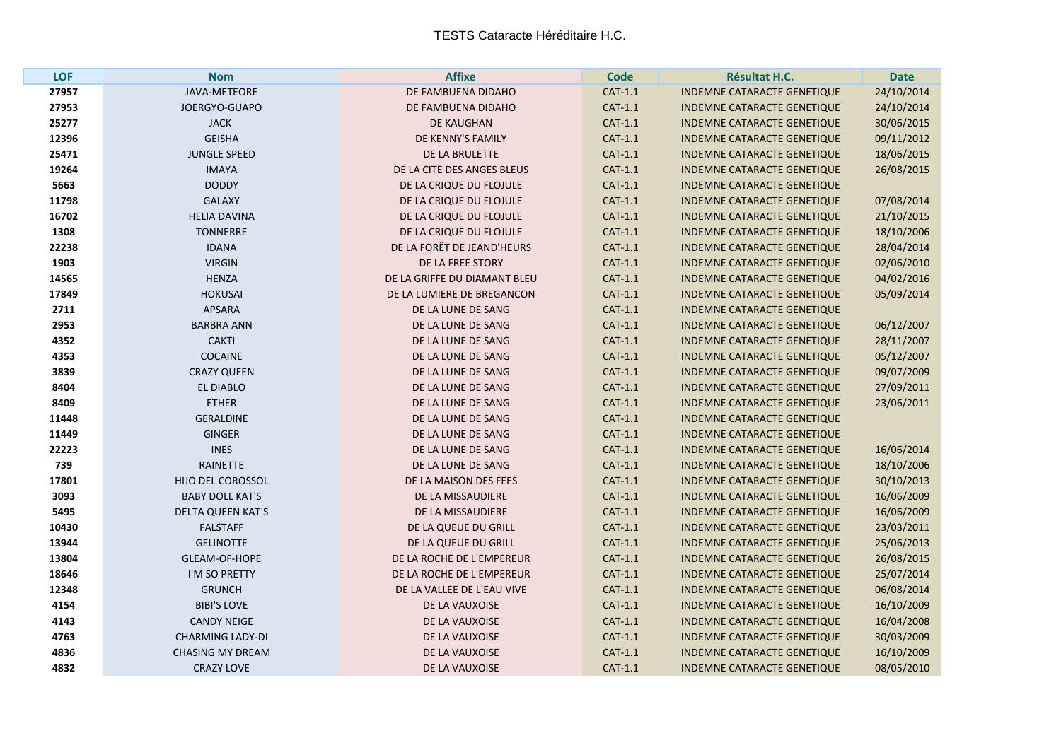| LOF   | <b>Nom</b>              | <b>Affixe</b>                | <b>Code</b> | <b>Résultat H.C.</b>               | <b>Date</b> |
|-------|-------------------------|------------------------------|-------------|------------------------------------|-------------|
| 27957 | <b>JAVA-METEORE</b>     | DE FAMBUENA DIDAHO           | CAT-1.1     | <b>INDEMNE CATARACTE GENETIQUE</b> | 24/10/2014  |
| 27953 | JOERGYO-GUAPO           | DE FAMBUENA DIDAHO           | CAT-1.1     | <b>INDEMNE CATARACTE GENETIQUE</b> | 24/10/2014  |
| 25277 | <b>JACK</b>             | <b>DE KAUGHAN</b>            | CAT-1.1     | INDEMNE CATARACTE GENETIQUE        | 30/06/2015  |
| 12396 | <b>GEISHA</b>           | DE KENNY'S FAMILY            | CAT-1.1     | <b>INDEMNE CATARACTE GENETIQUE</b> | 09/11/2012  |
| 25471 | <b>JUNGLE SPEED</b>     | DE LA BRULETTE               | CAT-1.1     | <b>INDEMNE CATARACTE GENETIQUE</b> | 18/06/2015  |
| 19264 | <b>IMAYA</b>            | DE LA CITE DES ANGES BLEUS   | CAT-1.1     | <b>INDEMNE CATARACTE GENETIQUE</b> | 26/08/2015  |
| 5663  | <b>DODDY</b>            | DE LA CRIQUE DU FLOJULE      | CAT-1.1     | <b>INDEMNE CATARACTE GENETIQUE</b> |             |
| 11798 | <b>GALAXY</b>           | DE LA CRIQUE DU FLOJULE      | CAT-1.1     | <b>INDEMNE CATARACTE GENETIQUE</b> | 07/08/2014  |
| 16702 | <b>HELIA DAVINA</b>     | DE LA CRIQUE DU FLOJULE      | CAT-1.1     | <b>INDEMNE CATARACTE GENETIQUE</b> | 21/10/2015  |
| 1308  | <b>TONNERRE</b>         | DE LA CRIQUE DU FLOJULE      | CAT-1.1     | <b>INDEMNE CATARACTE GENETIQUE</b> | 18/10/2006  |
| 22238 | <b>IDANA</b>            | DE LA FORÊT DE JEAND'HEURS   | CAT-1.1     | <b>INDEMNE CATARACTE GENETIQUE</b> | 28/04/2014  |
| 1903  | <b>VIRGIN</b>           | DE LA FREE STORY             | CAT-1.1     | <b>INDEMNE CATARACTE GENETIQUE</b> | 02/06/2010  |
| 14565 | <b>HENZA</b>            | DE LA GRIFFE DU DIAMANT BLEU | CAT-1.1     | <b>INDEMNE CATARACTE GENETIQUE</b> | 04/02/2016  |
| 17849 | <b>HOKUSAI</b>          | DE LA LUMIERE DE BREGANCON   | CAT-1.1     | <b>INDEMNE CATARACTE GENETIQUE</b> | 05/09/2014  |
| 2711  | <b>APSARA</b>           | DE LA LUNE DE SANG           | CAT-1.1     | <b>INDEMNE CATARACTE GENETIQUE</b> |             |
| 2953  | <b>BARBRA ANN</b>       | DE LA LUNE DE SANG           | CAT-1.1     | <b>INDEMNE CATARACTE GENETIQUE</b> | 06/12/2007  |
| 4352  | <b>CAKTI</b>            | DE LA LUNE DE SANG           | CAT-1.1     | <b>INDEMNE CATARACTE GENETIQUE</b> | 28/11/2007  |
| 4353  | <b>COCAINE</b>          | DE LA LUNE DE SANG           | CAT-1.1     | <b>INDEMNE CATARACTE GENETIQUE</b> | 05/12/2007  |
| 3839  | <b>CRAZY QUEEN</b>      | DE LA LUNE DE SANG           | CAT-1.1     | <b>INDEMNE CATARACTE GENETIQUE</b> | 09/07/2009  |
| 8404  | <b>EL DIABLO</b>        | DE LA LUNE DE SANG           | CAT-1.1     | <b>INDEMNE CATARACTE GENETIQUE</b> | 27/09/2011  |
| 8409  | <b>ETHER</b>            | DE LA LUNE DE SANG           | CAT-1.1     | <b>INDEMNE CATARACTE GENETIQUE</b> | 23/06/2011  |
| 11448 | <b>GERALDINE</b>        | DE LA LUNE DE SANG           | CAT-1.1     | <b>INDEMNE CATARACTE GENETIQUE</b> |             |
| 11449 | <b>GINGER</b>           | DE LA LUNE DE SANG           | CAT-1.1     | <b>INDEMNE CATARACTE GENETIQUE</b> |             |
| 22223 | <b>INES</b>             | DE LA LUNE DE SANG           | CAT-1.1     | <b>INDEMNE CATARACTE GENETIQUE</b> | 16/06/2014  |
| 739   | <b>RAINETTE</b>         | DE LA LUNE DE SANG           | CAT-1.1     | <b>INDEMNE CATARACTE GENETIQUE</b> | 18/10/2006  |
| 17801 | HIJO DEL COROSSOL       | DE LA MAISON DES FEES        | CAT-1.1     | <b>INDEMNE CATARACTE GENETIQUE</b> | 30/10/2013  |
| 3093  | <b>BABY DOLL KAT'S</b>  | DE LA MISSAUDIERE            | CAT-1.1     | INDEMNE CATARACTE GENETIQUE        | 16/06/2009  |
| 5495  | DELTA QUEEN KAT'S       | DE LA MISSAUDIERE            | CAT-1.1     | <b>INDEMNE CATARACTE GENETIQUE</b> | 16/06/2009  |
| 10430 | <b>FALSTAFF</b>         | DE LA QUEUE DU GRILL         | CAT-1.1     | <b>INDEMNE CATARACTE GENETIQUE</b> | 23/03/2011  |
| 13944 | <b>GELINOTTE</b>        | DE LA QUEUE DU GRILL         | CAT-1.1     | INDEMNE CATARACTE GENETIQUE        | 25/06/2013  |
| 13804 | <b>GLEAM-OF-HOPE</b>    | DE LA ROCHE DE L'EMPEREUR    | CAT-1.1     | <b>INDEMNE CATARACTE GENETIQUE</b> | 26/08/2015  |
| 18646 | I'M SO PRETTY           | DE LA ROCHE DE L'EMPEREUR    | CAT-1.1     | <b>INDEMNE CATARACTE GENETIQUE</b> | 25/07/2014  |
| 12348 | <b>GRUNCH</b>           | DE LA VALLEE DE L'EAU VIVE   | CAT-1.1     | <b>INDEMNE CATARACTE GENETIQUE</b> | 06/08/2014  |
| 4154  | <b>BIBI'S LOVE</b>      | DE LA VAUXOISE               | CAT-1.1     | <b>INDEMNE CATARACTE GENETIQUE</b> | 16/10/2009  |
| 4143  | <b>CANDY NEIGE</b>      | DE LA VAUXOISE               | CAT-1.1     | <b>INDEMNE CATARACTE GENETIQUE</b> | 16/04/2008  |
| 4763  | <b>CHARMING LADY-DI</b> | DE LA VAUXOISE               | CAT-1.1     | <b>INDEMNE CATARACTE GENETIQUE</b> | 30/03/2009  |
| 4836  | <b>CHASING MY DREAM</b> | DE LA VAUXOISE               | CAT-1.1     | <b>INDEMNE CATARACTE GENETIQUE</b> | 16/10/2009  |
| 4832  | <b>CRAZY LOVE</b>       | DE LA VAUXOISE               | CAT-1.1     | <b>INDEMNE CATARACTE GENETIQUE</b> | 08/05/2010  |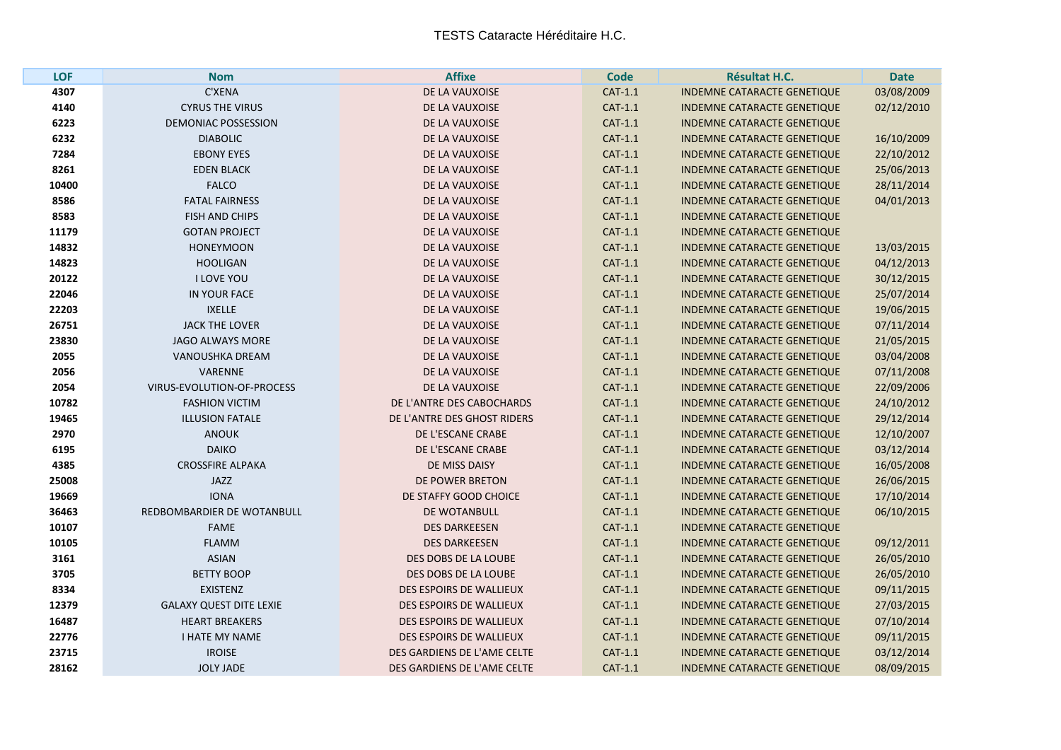**The State** 

| <b>LOF</b> | <b>Nom</b>                     | <b>Affixe</b>                  | <b>Code</b>    | <b>Résultat H.C.</b>               | <b>Date</b> |
|------------|--------------------------------|--------------------------------|----------------|------------------------------------|-------------|
| 4307       | C'XENA                         | DE LA VAUXOISE                 | $CAT-1.1$      | <b>INDEMNE CATARACTE GENETIQUE</b> | 03/08/2009  |
| 4140       | <b>CYRUS THE VIRUS</b>         | DE LA VAUXOISE                 | CAT-1.1        | <b>INDEMNE CATARACTE GENETIQUE</b> | 02/12/2010  |
| 6223       | <b>DEMONIAC POSSESSION</b>     | DE LA VAUXOISE                 | CAT-1.1        | <b>INDEMNE CATARACTE GENETIQUE</b> |             |
| 6232       | <b>DIABOLIC</b>                | DE LA VAUXOISE                 | CAT-1.1        | <b>INDEMNE CATARACTE GENETIQUE</b> | 16/10/2009  |
| 7284       | <b>EBONY EYES</b>              | DE LA VAUXOISE                 | $CAT-1.1$      | <b>INDEMNE CATARACTE GENETIQUE</b> | 22/10/2012  |
| 8261       | <b>EDEN BLACK</b>              | DE LA VAUXOISE                 | CAT-1.1        | INDEMNE CATARACTE GENETIQUE        | 25/06/2013  |
| 10400      | <b>FALCO</b>                   | DE LA VAUXOISE                 | CAT-1.1        | INDEMNE CATARACTE GENETIQUE        | 28/11/2014  |
| 8586       | <b>FATAL FAIRNESS</b>          | DE LA VAUXOISE                 | CAT-1.1        | <b>INDEMNE CATARACTE GENETIQUE</b> | 04/01/2013  |
| 8583       | <b>FISH AND CHIPS</b>          | DE LA VAUXOISE                 | $CAT-1.1$      | <b>INDEMNE CATARACTE GENETIQUE</b> |             |
| 11179      | <b>GOTAN PROJECT</b>           | DE LA VAUXOISE                 | $CAT-1.1$      | <b>INDEMNE CATARACTE GENETIQUE</b> |             |
| 14832      | <b>HONEYMOON</b>               | DE LA VAUXOISE                 | CAT-1.1        | <b>INDEMNE CATARACTE GENETIQUE</b> | 13/03/2015  |
| 14823      | <b>HOOLIGAN</b>                | DE LA VAUXOISE                 | CAT-1.1        | <b>INDEMNE CATARACTE GENETIQUE</b> | 04/12/2013  |
| 20122      | I LOVE YOU                     | DE LA VAUXOISE                 | CAT-1.1        | <b>INDEMNE CATARACTE GENETIQUE</b> | 30/12/2015  |
| 22046      | IN YOUR FACE                   | DE LA VAUXOISE                 | CAT-1.1        | <b>INDEMNE CATARACTE GENETIQUE</b> | 25/07/2014  |
| 22203      | <b>IXELLE</b>                  | DE LA VAUXOISE                 | CAT-1.1        | <b>INDEMNE CATARACTE GENETIQUE</b> | 19/06/2015  |
| 26751      | <b>JACK THE LOVER</b>          | DE LA VAUXOISE                 | CAT-1.1        | <b>INDEMNE CATARACTE GENETIQUE</b> | 07/11/2014  |
| 23830      | <b>JAGO ALWAYS MORE</b>        | DE LA VAUXOISE                 | CAT-1.1        | <b>INDEMNE CATARACTE GENETIQUE</b> | 21/05/2015  |
| 2055       | <b>VANOUSHKA DREAM</b>         | DE LA VAUXOISE                 | $CAT-1.1$      | <b>INDEMNE CATARACTE GENETIQUE</b> | 03/04/2008  |
| 2056       | <b>VARENNE</b>                 | DE LA VAUXOISE                 | CAT-1.1        | <b>INDEMNE CATARACTE GENETIQUE</b> | 07/11/2008  |
| 2054       | VIRUS-EVOLUTION-OF-PROCESS     | DE LA VAUXOISE                 | CAT-1.1        | <b>INDEMNE CATARACTE GENETIQUE</b> | 22/09/2006  |
| 10782      | <b>FASHION VICTIM</b>          | DE L'ANTRE DES CABOCHARDS      | CAT-1.1        | <b>INDEMNE CATARACTE GENETIQUE</b> | 24/10/2012  |
| 19465      | <b>ILLUSION FATALE</b>         | DE L'ANTRE DES GHOST RIDERS    | $CAT-1.1$      | <b>INDEMNE CATARACTE GENETIQUE</b> | 29/12/2014  |
| 2970       | <b>ANOUK</b>                   | DE L'ESCANE CRABE              | $CAT-1.1$      | <b>INDEMNE CATARACTE GENETIQUE</b> | 12/10/2007  |
| 6195       | <b>DAIKO</b>                   | DE L'ESCANE CRABE              | CAT-1.1        | <b>INDEMNE CATARACTE GENETIQUE</b> | 03/12/2014  |
| 4385       | <b>CROSSFIRE ALPAKA</b>        | DE MISS DAISY                  | CAT-1.1        | <b>INDEMNE CATARACTE GENETIQUE</b> | 16/05/2008  |
| 25008      | <b>JAZZ</b>                    | DE POWER BRETON                | $CAT-1.1$      | <b>INDEMNE CATARACTE GENETIQUE</b> | 26/06/2015  |
| 19669      | <b>IONA</b>                    | DE STAFFY GOOD CHOICE          | $CAT-1.1$      | <b>INDEMNE CATARACTE GENETIQUE</b> | 17/10/2014  |
| 36463      | REDBOMBARDIER DE WOTANBULL     | DE WOTANBULL                   | CAT-1.1        | <b>INDEMNE CATARACTE GENETIQUE</b> | 06/10/2015  |
| 10107      | <b>FAME</b>                    | <b>DES DARKEESEN</b>           | CAT-1.1        | <b>INDEMNE CATARACTE GENETIQUE</b> |             |
| 10105      | <b>FLAMM</b>                   | <b>DES DARKEESEN</b>           | CAT-1.1        | INDEMNE CATARACTE GENETIQUE        | 09/12/2011  |
| 3161       | <b>ASIAN</b>                   | DES DOBS DE LA LOUBE           | $CAT-1.1$      | <b>INDEMNE CATARACTE GENETIQUE</b> | 26/05/2010  |
| 3705       | <b>BETTY BOOP</b>              | DES DOBS DE LA LOUBE           | CAT-1.1        | INDEMNE CATARACTE GENETIQUE        | 26/05/2010  |
| 8334       | <b>EXISTENZ</b>                | DES ESPOIRS DE WALLIEUX        | CAT-1.1        | INDEMNE CATARACTE GENETIQUE        | 09/11/2015  |
| 12379      | <b>GALAXY QUEST DITE LEXIE</b> | DES ESPOIRS DE WALLIEUX        | CAT-1.1        | <b>INDEMNE CATARACTE GENETIQUE</b> | 27/03/2015  |
| 16487      | <b>HEART BREAKERS</b>          | <b>DES ESPOIRS DE WALLIEUX</b> | $CAT-1.1$      | INDEMNE CATARACTE GENETIQUE        | 07/10/2014  |
| 22776      | <b>I HATE MY NAME</b>          | DES ESPOIRS DE WALLIEUX        | CAT-1.1        | <b>INDEMNE CATARACTE GENETIQUE</b> | 09/11/2015  |
| 23715      | <b>IROISE</b>                  | DES GARDIENS DE L'AME CELTE    | CAT-1.1        | <b>INDEMNE CATARACTE GENETIQUE</b> | 03/12/2014  |
| 28162      | <b>JOLY JADE</b>               | DES GARDIENS DE L'AME CELTE    | <b>CAT-1.1</b> | <b>INDEMNE CATARACTE GENETIQUE</b> | 08/09/2015  |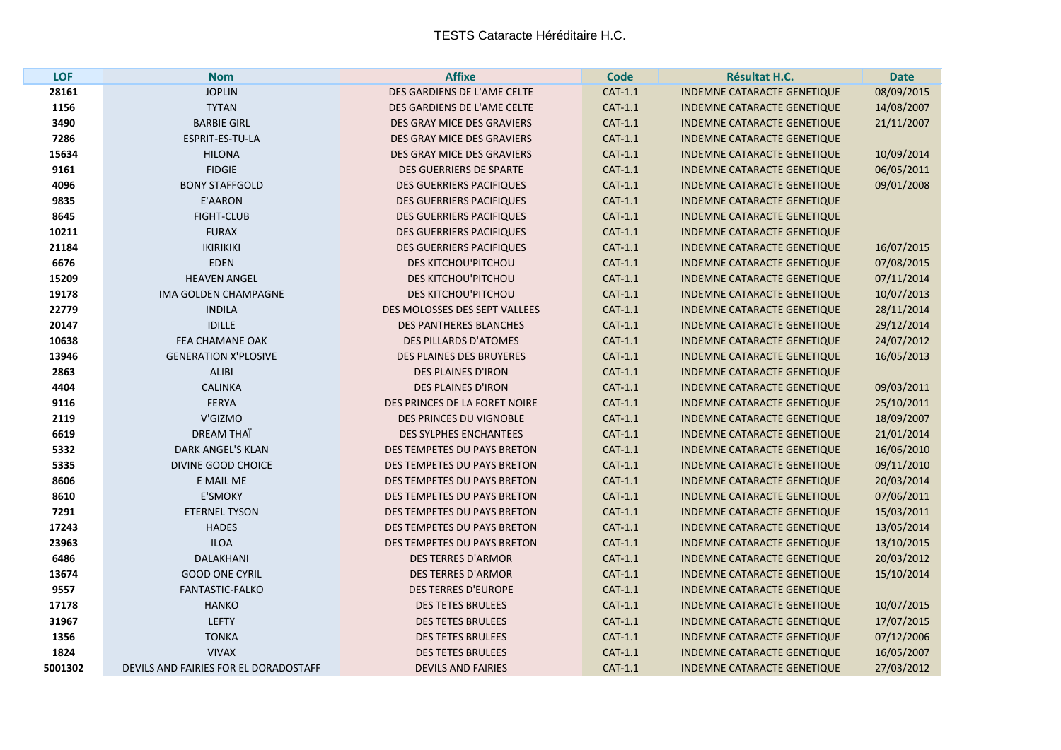| LOF     | <b>Nom</b>                            | <b>Affixe</b>                     | <b>Code</b> | <b>Résultat H.C.</b>               | <b>Date</b> |
|---------|---------------------------------------|-----------------------------------|-------------|------------------------------------|-------------|
| 28161   | <b>JOPLIN</b>                         | DES GARDIENS DE L'AME CELTE       | CAT-1.1     | <b>INDEMNE CATARACTE GENETIQUE</b> | 08/09/2015  |
| 1156    | <b>TYTAN</b>                          | DES GARDIENS DE L'AME CELTE       | CAT-1.1     | <b>INDEMNE CATARACTE GENETIQUE</b> | 14/08/2007  |
| 3490    | <b>BARBIE GIRL</b>                    | <b>DES GRAY MICE DES GRAVIERS</b> | CAT-1.1     | <b>INDEMNE CATARACTE GENETIQUE</b> | 21/11/2007  |
| 7286    | ESPRIT-ES-TU-LA                       | DES GRAY MICE DES GRAVIERS        | CAT-1.1     | <b>INDEMNE CATARACTE GENETIQUE</b> |             |
| 15634   | <b>HILONA</b>                         | DES GRAY MICE DES GRAVIERS        | CAT-1.1     | <b>INDEMNE CATARACTE GENETIQUE</b> | 10/09/2014  |
| 9161    | <b>FIDGIE</b>                         | <b>DES GUERRIERS DE SPARTE</b>    | CAT-1.1     | <b>INDEMNE CATARACTE GENETIQUE</b> | 06/05/2011  |
| 4096    | <b>BONY STAFFGOLD</b>                 | <b>DES GUERRIERS PACIFIQUES</b>   | CAT-1.1     | <b>INDEMNE CATARACTE GENETIQUE</b> | 09/01/2008  |
| 9835    | <b>E'AARON</b>                        | <b>DES GUERRIERS PACIFIQUES</b>   | $CAT-1.1$   | <b>INDEMNE CATARACTE GENETIQUE</b> |             |
| 8645    | <b>FIGHT-CLUB</b>                     | <b>DES GUERRIERS PACIFIQUES</b>   | CAT-1.1     | <b>INDEMNE CATARACTE GENETIQUE</b> |             |
| 10211   | <b>FURAX</b>                          | <b>DES GUERRIERS PACIFIQUES</b>   | CAT-1.1     | <b>INDEMNE CATARACTE GENETIQUE</b> |             |
| 21184   | <b>IKIRIKIKI</b>                      | <b>DES GUERRIERS PACIFIQUES</b>   | CAT-1.1     | <b>INDEMNE CATARACTE GENETIQUE</b> | 16/07/2015  |
| 6676    | <b>EDEN</b>                           | <b>DES KITCHOU'PITCHOU</b>        | CAT-1.1     | <b>INDEMNE CATARACTE GENETIQUE</b> | 07/08/2015  |
| 15209   | <b>HEAVEN ANGEL</b>                   | <b>DES KITCHOU'PITCHOU</b>        | CAT-1.1     | <b>INDEMNE CATARACTE GENETIQUE</b> | 07/11/2014  |
| 19178   | <b>IMA GOLDEN CHAMPAGNE</b>           | DES KITCHOU'PITCHOU               | CAT-1.1     | <b>INDEMNE CATARACTE GENETIQUE</b> | 10/07/2013  |
| 22779   | <b>INDILA</b>                         | DES MOLOSSES DES SEPT VALLEES     | CAT-1.1     | <b>INDEMNE CATARACTE GENETIQUE</b> | 28/11/2014  |
| 20147   | <b>IDILLE</b>                         | <b>DES PANTHERES BLANCHES</b>     | CAT-1.1     | <b>INDEMNE CATARACTE GENETIQUE</b> | 29/12/2014  |
| 10638   | <b>FEA CHAMANE OAK</b>                | <b>DES PILLARDS D'ATOMES</b>      | CAT-1.1     | <b>INDEMNE CATARACTE GENETIQUE</b> | 24/07/2012  |
| 13946   | <b>GENERATION X'PLOSIVE</b>           | <b>DES PLAINES DES BRUYERES</b>   | CAT-1.1     | INDEMNE CATARACTE GENETIQUE        | 16/05/2013  |
| 2863    | <b>ALIBI</b>                          | <b>DES PLAINES D'IRON</b>         | CAT-1.1     | <b>INDEMNE CATARACTE GENETIQUE</b> |             |
| 4404    | <b>CALINKA</b>                        | <b>DES PLAINES D'IRON</b>         | CAT-1.1     | <b>INDEMNE CATARACTE GENETIQUE</b> | 09/03/2011  |
| 9116    | <b>FERYA</b>                          | DES PRINCES DE LA FORET NOIRE     | CAT-1.1     | <b>INDEMNE CATARACTE GENETIQUE</b> | 25/10/2011  |
| 2119    | V'GIZMO                               | DES PRINCES DU VIGNOBLE           | $CAT-1.1$   | <b>INDEMNE CATARACTE GENETIQUE</b> | 18/09/2007  |
| 6619    | DREAM THAÏ                            | <b>DES SYLPHES ENCHANTEES</b>     | CAT-1.1     | <b>INDEMNE CATARACTE GENETIQUE</b> | 21/01/2014  |
| 5332    | DARK ANGEL'S KLAN                     | DES TEMPETES DU PAYS BRETON       | CAT-1.1     | <b>INDEMNE CATARACTE GENETIQUE</b> | 16/06/2010  |
| 5335    | DIVINE GOOD CHOICE                    | DES TEMPETES DU PAYS BRETON       | CAT-1.1     | INDEMNE CATARACTE GENETIQUE        | 09/11/2010  |
| 8606    | E MAIL ME                             | DES TEMPETES DU PAYS BRETON       | CAT-1.1     | <b>INDEMNE CATARACTE GENETIQUE</b> | 20/03/2014  |
| 8610    | <b>E'SMOKY</b>                        | DES TEMPETES DU PAYS BRETON       | CAT-1.1     | <b>INDEMNE CATARACTE GENETIQUE</b> | 07/06/2011  |
| 7291    | <b>ETERNEL TYSON</b>                  | DES TEMPETES DU PAYS BRETON       | CAT-1.1     | <b>INDEMNE CATARACTE GENETIQUE</b> | 15/03/2011  |
| 17243   | <b>HADES</b>                          | DES TEMPETES DU PAYS BRETON       | CAT-1.1     | <b>INDEMNE CATARACTE GENETIQUE</b> | 13/05/2014  |
| 23963   | <b>ILOA</b>                           | DES TEMPETES DU PAYS BRETON       | CAT-1.1     | <b>INDEMNE CATARACTE GENETIQUE</b> | 13/10/2015  |
| 6486    | <b>DALAKHANI</b>                      | <b>DES TERRES D'ARMOR</b>         | CAT-1.1     | <b>INDEMNE CATARACTE GENETIQUE</b> | 20/03/2012  |
| 13674   | <b>GOOD ONE CYRIL</b>                 | <b>DES TERRES D'ARMOR</b>         | CAT-1.1     | <b>INDEMNE CATARACTE GENETIQUE</b> | 15/10/2014  |
| 9557    | <b>FANTASTIC-FALKO</b>                | <b>DES TERRES D'EUROPE</b>        | $CAT-1.1$   | <b>INDEMNE CATARACTE GENETIQUE</b> |             |
| 17178   | <b>HANKO</b>                          | <b>DES TETES BRULEES</b>          | CAT-1.1     | <b>INDEMNE CATARACTE GENETIQUE</b> | 10/07/2015  |
| 31967   | <b>LEFTY</b>                          | <b>DES TETES BRULEES</b>          | CAT-1.1     | <b>INDEMNE CATARACTE GENETIQUE</b> | 17/07/2015  |
| 1356    | <b>TONKA</b>                          | <b>DES TETES BRULEES</b>          | CAT-1.1     | <b>INDEMNE CATARACTE GENETIQUE</b> | 07/12/2006  |
| 1824    | <b>VIVAX</b>                          | <b>DES TETES BRULEES</b>          | CAT-1.1     | <b>INDEMNE CATARACTE GENETIQUE</b> | 16/05/2007  |
| 5001302 | DEVILS AND FAIRIES FOR EL DORADOSTAFF | <b>DEVILS AND FAIRIES</b>         | CAT-1.1     | <b>INDEMNE CATARACTE GENETIQUE</b> | 27/03/2012  |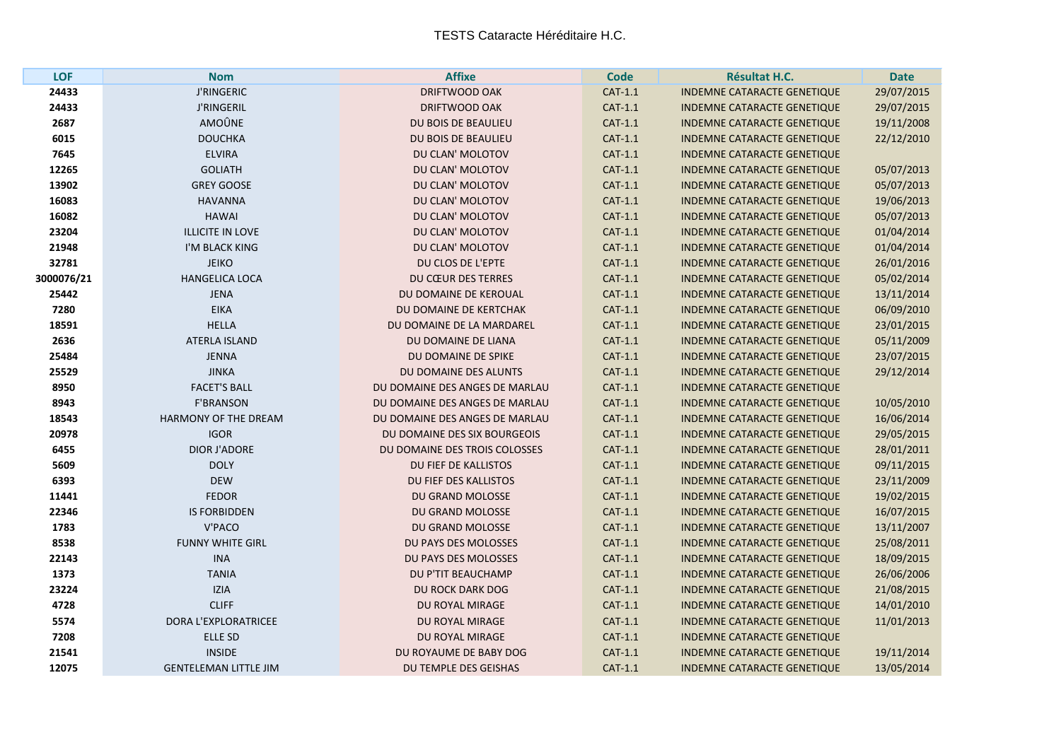| <b>LOF</b> | <b>Nom</b>                   | <b>Affixe</b>                  | <b>Code</b> | <b>Résultat H.C.</b>               | <b>Date</b> |
|------------|------------------------------|--------------------------------|-------------|------------------------------------|-------------|
| 24433      | <b>J'RINGERIC</b>            | <b>DRIFTWOOD OAK</b>           | CAT-1.1     | <b>INDEMNE CATARACTE GENETIQUE</b> | 29/07/2015  |
| 24433      | <b>J'RINGERIL</b>            | DRIFTWOOD OAK                  | $CAT-1.1$   | <b>INDEMNE CATARACTE GENETIQUE</b> | 29/07/2015  |
| 2687       | AMOÛNE                       | DU BOIS DE BEAULIEU            | CAT-1.1     | <b>INDEMNE CATARACTE GENETIQUE</b> | 19/11/2008  |
| 6015       | <b>DOUCHKA</b>               | <b>DU BOIS DE BEAULIEU</b>     | CAT-1.1     | <b>INDEMNE CATARACTE GENETIQUE</b> | 22/12/2010  |
| 7645       | <b>ELVIRA</b>                | DU CLAN' MOLOTOV               | $CAT-1.1$   | <b>INDEMNE CATARACTE GENETIQUE</b> |             |
| 12265      | <b>GOLIATH</b>               | DU CLAN' MOLOTOV               | CAT-1.1     | <b>INDEMNE CATARACTE GENETIQUE</b> | 05/07/2013  |
| 13902      | <b>GREY GOOSE</b>            | DU CLAN' MOLOTOV               | CAT-1.1     | <b>INDEMNE CATARACTE GENETIQUE</b> | 05/07/2013  |
| 16083      | <b>HAVANNA</b>               | DU CLAN' MOLOTOV               | CAT-1.1     | <b>INDEMNE CATARACTE GENETIQUE</b> | 19/06/2013  |
| 16082      | <b>HAWAI</b>                 | DU CLAN' MOLOTOV               | CAT-1.1     | <b>INDEMNE CATARACTE GENETIQUE</b> | 05/07/2013  |
| 23204      | <b>ILLICITE IN LOVE</b>      | DU CLAN' MOLOTOV               | CAT-1.1     | <b>INDEMNE CATARACTE GENETIQUE</b> | 01/04/2014  |
| 21948      | I'M BLACK KING               | DU CLAN' MOLOTOV               | CAT-1.1     | <b>INDEMNE CATARACTE GENETIQUE</b> | 01/04/2014  |
| 32781      | <b>JEIKO</b>                 | DU CLOS DE L'EPTE              | CAT-1.1     | <b>INDEMNE CATARACTE GENETIQUE</b> | 26/01/2016  |
| 3000076/21 | <b>HANGELICA LOCA</b>        | <b>DU CŒUR DES TERRES</b>      | CAT-1.1     | <b>INDEMNE CATARACTE GENETIQUE</b> | 05/02/2014  |
| 25442      | <b>JENA</b>                  | DU DOMAINE DE KEROUAL          | CAT-1.1     | <b>INDEMNE CATARACTE GENETIQUE</b> | 13/11/2014  |
| 7280       | <b>EIKA</b>                  | DU DOMAINE DE KERTCHAK         | CAT-1.1     | <b>INDEMNE CATARACTE GENETIQUE</b> | 06/09/2010  |
| 18591      | <b>HELLA</b>                 | DU DOMAINE DE LA MARDAREL      | CAT-1.1     | <b>INDEMNE CATARACTE GENETIQUE</b> | 23/01/2015  |
| 2636       | <b>ATERLA ISLAND</b>         | DU DOMAINE DE LIANA            | CAT-1.1     | <b>INDEMNE CATARACTE GENETIQUE</b> | 05/11/2009  |
| 25484      | <b>JENNA</b>                 | DU DOMAINE DE SPIKE            | CAT-1.1     | <b>INDEMNE CATARACTE GENETIQUE</b> | 23/07/2015  |
| 25529      | <b>JINKA</b>                 | DU DOMAINE DES ALUNTS          | $CAT-1.1$   | <b>INDEMNE CATARACTE GENETIQUE</b> | 29/12/2014  |
| 8950       | <b>FACET'S BALL</b>          | DU DOMAINE DES ANGES DE MARLAU | CAT-1.1     | <b>INDEMNE CATARACTE GENETIQUE</b> |             |
| 8943       | <b>F'BRANSON</b>             | DU DOMAINE DES ANGES DE MARLAU | CAT-1.1     | <b>INDEMNE CATARACTE GENETIQUE</b> | 10/05/2010  |
| 18543      | HARMONY OF THE DREAM         | DU DOMAINE DES ANGES DE MARLAU | CAT-1.1     | <b>INDEMNE CATARACTE GENETIQUE</b> | 16/06/2014  |
| 20978      | <b>IGOR</b>                  | DU DOMAINE DES SIX BOURGEOIS   | $CAT-1.1$   | <b>INDEMNE CATARACTE GENETIQUE</b> | 29/05/2015  |
| 6455       | <b>DIOR J'ADORE</b>          | DU DOMAINE DES TROIS COLOSSES  | CAT-1.1     | <b>INDEMNE CATARACTE GENETIQUE</b> | 28/01/2011  |
| 5609       | <b>DOLY</b>                  | DU FIEF DE KALLISTOS           | CAT-1.1     | <b>INDEMNE CATARACTE GENETIQUE</b> | 09/11/2015  |
| 6393       | <b>DEW</b>                   | DU FIEF DES KALLISTOS          | $CAT-1.1$   | INDEMNE CATARACTE GENETIQUE        | 23/11/2009  |
| 11441      | <b>FEDOR</b>                 | DU GRAND MOLOSSE               | CAT-1.1     | <b>INDEMNE CATARACTE GENETIQUE</b> | 19/02/2015  |
| 22346      | <b>IS FORBIDDEN</b>          | DU GRAND MOLOSSE               | CAT-1.1     | <b>INDEMNE CATARACTE GENETIQUE</b> | 16/07/2015  |
| 1783       | <b>V'PACO</b>                | DU GRAND MOLOSSE               | $CAT-1.1$   | <b>INDEMNE CATARACTE GENETIQUE</b> | 13/11/2007  |
| 8538       | <b>FUNNY WHITE GIRL</b>      | DU PAYS DES MOLOSSES           | CAT-1.1     | <b>INDEMNE CATARACTE GENETIQUE</b> | 25/08/2011  |
| 22143      | <b>INA</b>                   | DU PAYS DES MOLOSSES           | CAT-1.1     | <b>INDEMNE CATARACTE GENETIQUE</b> | 18/09/2015  |
| 1373       | <b>TANIA</b>                 | DU P'TIT BEAUCHAMP             | CAT-1.1     | <b>INDEMNE CATARACTE GENETIQUE</b> | 26/06/2006  |
| 23224      | <b>IZIA</b>                  | <b>DU ROCK DARK DOG</b>        | CAT-1.1     | <b>INDEMNE CATARACTE GENETIQUE</b> | 21/08/2015  |
| 4728       | <b>CLIFF</b>                 | DU ROYAL MIRAGE                | CAT-1.1     | INDEMNE CATARACTE GENETIQUE        | 14/01/2010  |
| 5574       | DORA L'EXPLORATRICEE         | DU ROYAL MIRAGE                | CAT-1.1     | <b>INDEMNE CATARACTE GENETIQUE</b> | 11/01/2013  |
| 7208       | <b>ELLE SD</b>               | DU ROYAL MIRAGE                | CAT-1.1     | <b>INDEMNE CATARACTE GENETIQUE</b> |             |
| 21541      | <b>INSIDE</b>                | DU ROYAUME DE BABY DOG         | CAT-1.1     | <b>INDEMNE CATARACTE GENETIQUE</b> | 19/11/2014  |
| 12075      | <b>GENTELEMAN LITTLE JIM</b> | DU TEMPLE DES GEISHAS          | CAT-1.1     | <b>INDEMNE CATARACTE GENETIQUE</b> | 13/05/2014  |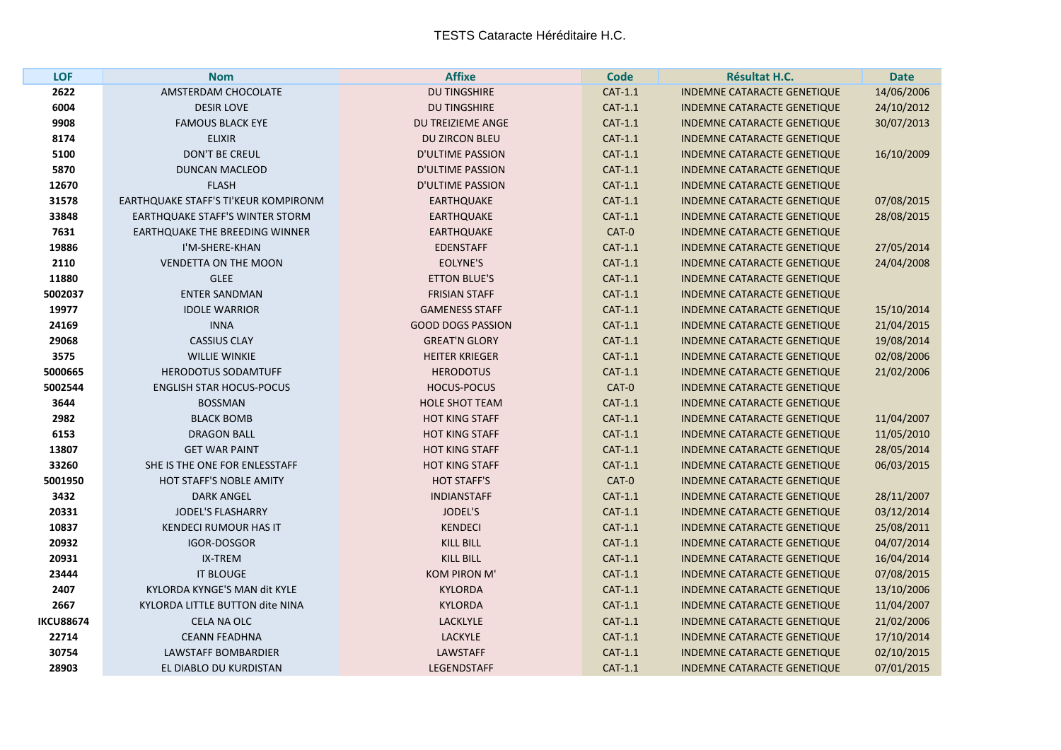| <b>LOF</b>       | <b>Nom</b>                             | <b>Affixe</b>            | <b>Code</b> | <b>Résultat H.C.</b>               | <b>Date</b> |
|------------------|----------------------------------------|--------------------------|-------------|------------------------------------|-------------|
| 2622             | AMSTERDAM CHOCOLATE                    | <b>DU TINGSHIRE</b>      | CAT-1.1     | <b>INDEMNE CATARACTE GENETIQUE</b> | 14/06/2006  |
| 6004             | <b>DESIR LOVE</b>                      | <b>DU TINGSHIRE</b>      | CAT-1.1     | <b>INDEMNE CATARACTE GENETIQUE</b> | 24/10/2012  |
| 9908             | <b>FAMOUS BLACK EYE</b>                | DU TREIZIEME ANGE        | CAT-1.1     | <b>INDEMNE CATARACTE GENETIQUE</b> | 30/07/2013  |
| 8174             | <b>ELIXIR</b>                          | <b>DU ZIRCON BLEU</b>    | CAT-1.1     | <b>INDEMNE CATARACTE GENETIQUE</b> |             |
| 5100             | <b>DON'T BE CREUL</b>                  | <b>D'ULTIME PASSION</b>  | CAT-1.1     | <b>INDEMNE CATARACTE GENETIQUE</b> | 16/10/2009  |
| 5870             | <b>DUNCAN MACLEOD</b>                  | <b>D'ULTIME PASSION</b>  | CAT-1.1     | <b>INDEMNE CATARACTE GENETIQUE</b> |             |
| 12670            | <b>FLASH</b>                           | <b>D'ULTIME PASSION</b>  | CAT-1.1     | <b>INDEMNE CATARACTE GENETIQUE</b> |             |
| 31578            | EARTHQUAKE STAFF'S TI'KEUR KOMPIRONM   | <b>EARTHQUAKE</b>        | CAT-1.1     | <b>INDEMNE CATARACTE GENETIQUE</b> | 07/08/2015  |
| 33848            | <b>EARTHQUAKE STAFF'S WINTER STORM</b> | <b>EARTHQUAKE</b>        | CAT-1.1     | <b>INDEMNE CATARACTE GENETIQUE</b> | 28/08/2015  |
| 7631             | <b>EARTHOUAKE THE BREEDING WINNER</b>  | <b>EARTHQUAKE</b>        | CAT-0       | <b>INDEMNE CATARACTE GENETIQUE</b> |             |
| 19886            | I'M-SHERE-KHAN                         | <b>EDENSTAFF</b>         | CAT-1.1     | <b>INDEMNE CATARACTE GENETIQUE</b> | 27/05/2014  |
| 2110             | <b>VENDETTA ON THE MOON</b>            | EOLYNE'S                 | CAT-1.1     | <b>INDEMNE CATARACTE GENETIQUE</b> | 24/04/2008  |
| 11880            | <b>GLEE</b>                            | <b>ETTON BLUE'S</b>      | CAT-1.1     | <b>INDEMNE CATARACTE GENETIQUE</b> |             |
| 5002037          | <b>ENTER SANDMAN</b>                   | <b>FRISIAN STAFF</b>     | CAT-1.1     | <b>INDEMNE CATARACTE GENETIQUE</b> |             |
| 19977            | <b>IDOLE WARRIOR</b>                   | <b>GAMENESS STAFF</b>    | CAT-1.1     | <b>INDEMNE CATARACTE GENETIQUE</b> | 15/10/2014  |
| 24169            | <b>INNA</b>                            | <b>GOOD DOGS PASSION</b> | CAT-1.1     | <b>INDEMNE CATARACTE GENETIQUE</b> | 21/04/2015  |
| 29068            | <b>CASSIUS CLAY</b>                    | <b>GREAT'N GLORY</b>     | CAT-1.1     | <b>INDEMNE CATARACTE GENETIQUE</b> | 19/08/2014  |
| 3575             | <b>WILLIE WINKIE</b>                   | <b>HEITER KRIEGER</b>    | CAT-1.1     | <b>INDEMNE CATARACTE GENETIQUE</b> | 02/08/2006  |
| 5000665          | <b>HERODOTUS SODAMTUFF</b>             | <b>HERODOTUS</b>         | CAT-1.1     | <b>INDEMNE CATARACTE GENETIQUE</b> | 21/02/2006  |
| 5002544          | <b>ENGLISH STAR HOCUS-POCUS</b>        | <b>HOCUS-POCUS</b>       | CAT-0       | <b>INDEMNE CATARACTE GENETIQUE</b> |             |
| 3644             | <b>BOSSMAN</b>                         | <b>HOLE SHOT TEAM</b>    | CAT-1.1     | <b>INDEMNE CATARACTE GENETIQUE</b> |             |
| 2982             | <b>BLACK BOMB</b>                      | <b>HOT KING STAFF</b>    | CAT-1.1     | <b>INDEMNE CATARACTE GENETIQUE</b> | 11/04/2007  |
| 6153             | <b>DRAGON BALL</b>                     | <b>HOT KING STAFF</b>    | CAT-1.1     | <b>INDEMNE CATARACTE GENETIQUE</b> | 11/05/2010  |
| 13807            | <b>GET WAR PAINT</b>                   | <b>HOT KING STAFF</b>    | CAT-1.1     | <b>INDEMNE CATARACTE GENETIQUE</b> | 28/05/2014  |
| 33260            | SHE IS THE ONE FOR ENLESSTAFF          | <b>HOT KING STAFF</b>    | $CAT-1.1$   | <b>INDEMNE CATARACTE GENETIQUE</b> | 06/03/2015  |
| 5001950          | <b>HOT STAFF'S NOBLE AMITY</b>         | <b>HOT STAFF'S</b>       | CAT-0       | <b>INDEMNE CATARACTE GENETIQUE</b> |             |
| 3432             | <b>DARK ANGEL</b>                      | <b>INDIANSTAFF</b>       | CAT-1.1     | <b>INDEMNE CATARACTE GENETIQUE</b> | 28/11/2007  |
| 20331            | <b>JODEL'S FLASHARRY</b>               | <b>JODEL'S</b>           | CAT-1.1     | <b>INDEMNE CATARACTE GENETIQUE</b> | 03/12/2014  |
| 10837            | <b>KENDECI RUMOUR HAS IT</b>           | <b>KENDECI</b>           | CAT-1.1     | <b>INDEMNE CATARACTE GENETIQUE</b> | 25/08/2011  |
| 20932            | <b>IGOR-DOSGOR</b>                     | <b>KILL BILL</b>         | CAT-1.1     | <b>INDEMNE CATARACTE GENETIQUE</b> | 04/07/2014  |
| 20931            | IX-TREM                                | <b>KILL BILL</b>         | CAT-1.1     | <b>INDEMNE CATARACTE GENETIQUE</b> | 16/04/2014  |
| 23444            | <b>IT BLOUGE</b>                       | <b>KOM PIRON M'</b>      | CAT-1.1     | INDEMNE CATARACTE GENETIQUE        | 07/08/2015  |
| 2407             | KYLORDA KYNGE'S MAN dit KYLE           | <b>KYLORDA</b>           | CAT-1.1     | <b>INDEMNE CATARACTE GENETIQUE</b> | 13/10/2006  |
| 2667             | KYLORDA LITTLE BUTTON dite NINA        | <b>KYLORDA</b>           | CAT-1.1     | <b>INDEMNE CATARACTE GENETIQUE</b> | 11/04/2007  |
| <b>IKCU88674</b> | <b>CELA NA OLC</b>                     | <b>LACKLYLE</b>          | CAT-1.1     | <b>INDEMNE CATARACTE GENETIQUE</b> | 21/02/2006  |
| 22714            | <b>CEANN FEADHNA</b>                   | <b>LACKYLE</b>           | CAT-1.1     | <b>INDEMNE CATARACTE GENETIQUE</b> | 17/10/2014  |
| 30754            | LAWSTAFF BOMBARDIER                    | <b>LAWSTAFF</b>          | CAT-1.1     | <b>INDEMNE CATARACTE GENETIQUE</b> | 02/10/2015  |
| 28903            | EL DIABLO DU KURDISTAN                 | <b>LEGENDSTAFF</b>       | CAT-1.1     | <b>INDEMNE CATARACTE GENETIQUE</b> | 07/01/2015  |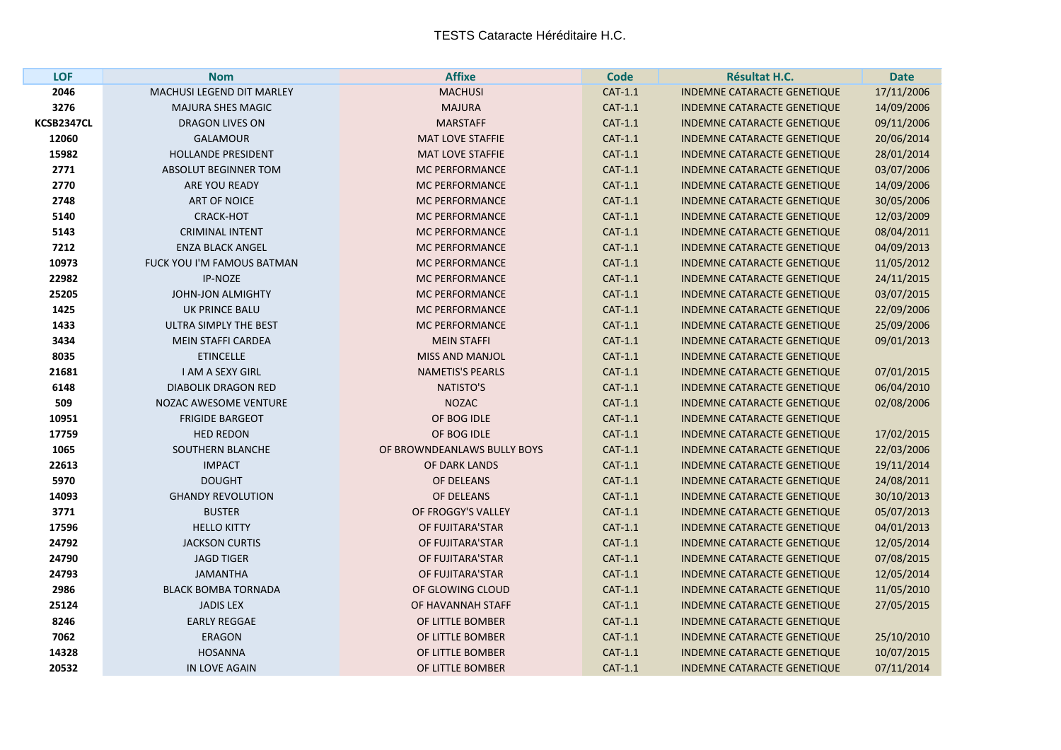| <b>LOF</b> | <b>Nom</b>                   | <b>Affixe</b>               | <b>Code</b> | <b>Résultat H.C.</b>               | <b>Date</b> |
|------------|------------------------------|-----------------------------|-------------|------------------------------------|-------------|
| 2046       | MACHUSI LEGEND DIT MARLEY    | <b>MACHUSI</b>              | CAT-1.1     | <b>INDEMNE CATARACTE GENETIQUE</b> | 17/11/2006  |
| 3276       | <b>MAJURA SHES MAGIC</b>     | <b>MAJURA</b>               | CAT-1.1     | <b>INDEMNE CATARACTE GENETIQUE</b> | 14/09/2006  |
| KCSB2347CL | <b>DRAGON LIVES ON</b>       | <b>MARSTAFF</b>             | CAT-1.1     | <b>INDEMNE CATARACTE GENETIQUE</b> | 09/11/2006  |
| 12060      | <b>GALAMOUR</b>              | MAT LOVE STAFFIE            | CAT-1.1     | <b>INDEMNE CATARACTE GENETIQUE</b> | 20/06/2014  |
| 15982      | <b>HOLLANDE PRESIDENT</b>    | <b>MAT LOVE STAFFIE</b>     | CAT-1.1     | <b>INDEMNE CATARACTE GENETIQUE</b> | 28/01/2014  |
| 2771       | ABSOLUT BEGINNER TOM         | <b>MC PERFORMANCE</b>       | CAT-1.1     | <b>INDEMNE CATARACTE GENETIQUE</b> | 03/07/2006  |
| 2770       | ARE YOU READY                | <b>MC PERFORMANCE</b>       | CAT-1.1     | <b>INDEMNE CATARACTE GENETIQUE</b> | 14/09/2006  |
| 2748       | <b>ART OF NOICE</b>          | <b>MC PERFORMANCE</b>       | CAT-1.1     | <b>INDEMNE CATARACTE GENETIQUE</b> | 30/05/2006  |
| 5140       | <b>CRACK-HOT</b>             | <b>MC PERFORMANCE</b>       | CAT-1.1     | <b>INDEMNE CATARACTE GENETIQUE</b> | 12/03/2009  |
| 5143       | <b>CRIMINAL INTENT</b>       | <b>MC PERFORMANCE</b>       | CAT-1.1     | <b>INDEMNE CATARACTE GENETIQUE</b> | 08/04/2011  |
| 7212       | <b>ENZA BLACK ANGEL</b>      | <b>MC PERFORMANCE</b>       | CAT-1.1     | <b>INDEMNE CATARACTE GENETIQUE</b> | 04/09/2013  |
| 10973      | FUCK YOU I'M FAMOUS BATMAN   | <b>MC PERFORMANCE</b>       | CAT-1.1     | <b>INDEMNE CATARACTE GENETIQUE</b> | 11/05/2012  |
| 22982      | IP-NOZE                      | <b>MC PERFORMANCE</b>       | CAT-1.1     | <b>INDEMNE CATARACTE GENETIQUE</b> | 24/11/2015  |
| 25205      | <b>JOHN-JON ALMIGHTY</b>     | <b>MC PERFORMANCE</b>       | CAT-1.1     | <b>INDEMNE CATARACTE GENETIQUE</b> | 03/07/2015  |
| 1425       | <b>UK PRINCE BALU</b>        | <b>MC PERFORMANCE</b>       | CAT-1.1     | <b>INDEMNE CATARACTE GENETIQUE</b> | 22/09/2006  |
| 1433       | ULTRA SIMPLY THE BEST        | <b>MC PERFORMANCE</b>       | CAT-1.1     | <b>INDEMNE CATARACTE GENETIQUE</b> | 25/09/2006  |
| 3434       | <b>MEIN STAFFI CARDEA</b>    | <b>MEIN STAFFI</b>          | CAT-1.1     | INDEMNE CATARACTE GENETIQUE        | 09/01/2013  |
| 8035       | <b>ETINCELLE</b>             | <b>MISS AND MANJOL</b>      | CAT-1.1     | <b>INDEMNE CATARACTE GENETIQUE</b> |             |
| 21681      | <b>I AM A SEXY GIRL</b>      | <b>NAMETIS'S PEARLS</b>     | CAT-1.1     | <b>INDEMNE CATARACTE GENETIQUE</b> | 07/01/2015  |
| 6148       | <b>DIABOLIK DRAGON RED</b>   | <b>NATISTO'S</b>            | CAT-1.1     | <b>INDEMNE CATARACTE GENETIQUE</b> | 06/04/2010  |
| 509        | <b>NOZAC AWESOME VENTURE</b> | <b>NOZAC</b>                | CAT-1.1     | <b>INDEMNE CATARACTE GENETIQUE</b> | 02/08/2006  |
| 10951      | <b>FRIGIDE BARGEOT</b>       | OF BOG IDLE                 | CAT-1.1     | <b>INDEMNE CATARACTE GENETIQUE</b> |             |
| 17759      | <b>HED REDON</b>             | OF BOG IDLE                 | CAT-1.1     | <b>INDEMNE CATARACTE GENETIQUE</b> | 17/02/2015  |
| 1065       | <b>SOUTHERN BLANCHE</b>      | OF BROWNDEANLAWS BULLY BOYS | CAT-1.1     | <b>INDEMNE CATARACTE GENETIQUE</b> | 22/03/2006  |
| 22613      | <b>IMPACT</b>                | OF DARK LANDS               | CAT-1.1     | <b>INDEMNE CATARACTE GENETIQUE</b> | 19/11/2014  |
| 5970       | <b>DOUGHT</b>                | OF DELEANS                  | CAT-1.1     | <b>INDEMNE CATARACTE GENETIQUE</b> | 24/08/2011  |
| 14093      | <b>GHANDY REVOLUTION</b>     | OF DELEANS                  | CAT-1.1     | <b>INDEMNE CATARACTE GENETIQUE</b> | 30/10/2013  |
| 3771       | <b>BUSTER</b>                | OF FROGGY'S VALLEY          | CAT-1.1     | <b>INDEMNE CATARACTE GENETIQUE</b> | 05/07/2013  |
| 17596      | <b>HELLO KITTY</b>           | OF FUJITARA'STAR            | CAT-1.1     | <b>INDEMNE CATARACTE GENETIQUE</b> | 04/01/2013  |
| 24792      | <b>JACKSON CURTIS</b>        | OF FUJITARA'STAR            | CAT-1.1     | <b>INDEMNE CATARACTE GENETIQUE</b> | 12/05/2014  |
| 24790      | <b>JAGD TIGER</b>            | OF FUJITARA'STAR            | CAT-1.1     | <b>INDEMNE CATARACTE GENETIQUE</b> | 07/08/2015  |
| 24793      | <b>JAMANTHA</b>              | OF FUJITARA'STAR            | CAT-1.1     | INDEMNE CATARACTE GENETIQUE        | 12/05/2014  |
| 2986       | <b>BLACK BOMBA TORNADA</b>   | OF GLOWING CLOUD            | CAT-1.1     | <b>INDEMNE CATARACTE GENETIQUE</b> | 11/05/2010  |
| 25124      | <b>JADIS LEX</b>             | OF HAVANNAH STAFF           | CAT-1.1     | <b>INDEMNE CATARACTE GENETIQUE</b> | 27/05/2015  |
| 8246       | <b>EARLY REGGAE</b>          | OF LITTLE BOMBER            | CAT-1.1     | <b>INDEMNE CATARACTE GENETIQUE</b> |             |
| 7062       | <b>ERAGON</b>                | OF LITTLE BOMBER            | CAT-1.1     | <b>INDEMNE CATARACTE GENETIQUE</b> | 25/10/2010  |
| 14328      | <b>HOSANNA</b>               | OF LITTLE BOMBER            | CAT-1.1     | <b>INDEMNE CATARACTE GENETIQUE</b> | 10/07/2015  |
| 20532      | IN LOVE AGAIN                | OF LITTLE BOMBER            | CAT-1.1     | <b>INDEMNE CATARACTE GENETIQUE</b> | 07/11/2014  |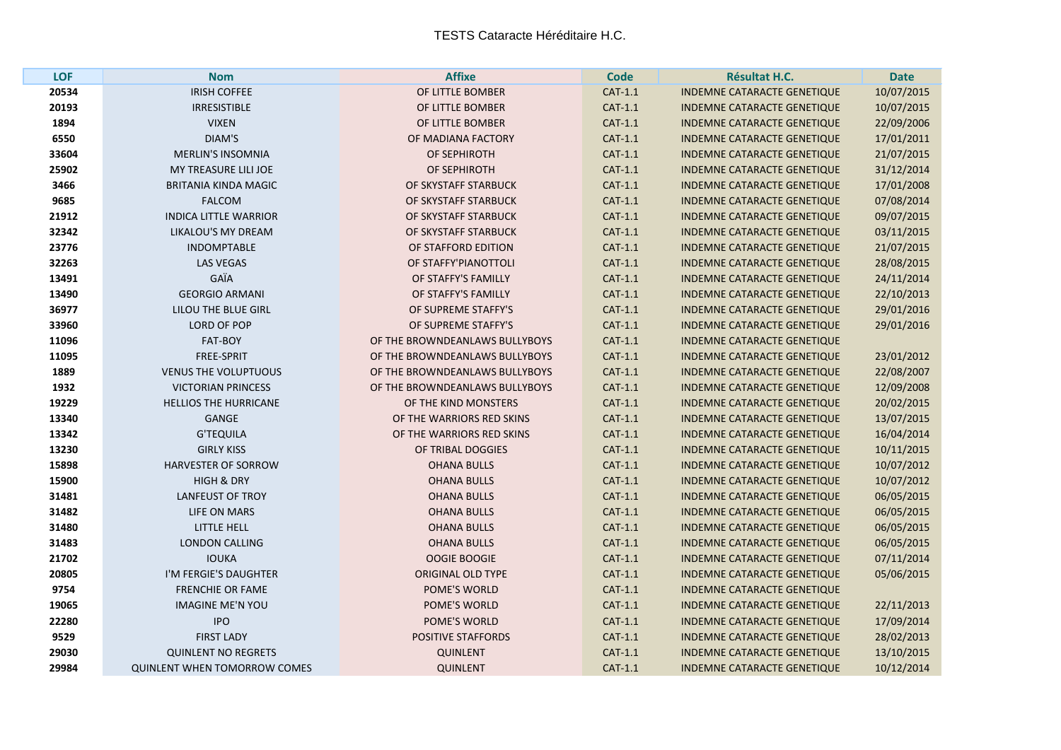| <b>LOF</b> | <b>Nom</b>                          | <b>Affixe</b>                  | <b>Code</b> | Résultat H.C.                      | <b>Date</b> |
|------------|-------------------------------------|--------------------------------|-------------|------------------------------------|-------------|
| 20534      | <b>IRISH COFFEE</b>                 | OF LITTLE BOMBER               | CAT-1.1     | INDEMNE CATARACTE GENETIQUE        | 10/07/2015  |
| 20193      | <b>IRRESISTIBLE</b>                 | OF LITTLE BOMBER               | CAT-1.1     | <b>INDEMNE CATARACTE GENETIQUE</b> | 10/07/2015  |
| 1894       | <b>VIXEN</b>                        | OF LITTLE BOMBER               | $CAT-1.1$   | <b>INDEMNE CATARACTE GENETIQUE</b> | 22/09/2006  |
| 6550       | DIAM'S                              | OF MADIANA FACTORY             | CAT-1.1     | <b>INDEMNE CATARACTE GENETIQUE</b> | 17/01/2011  |
| 33604      | <b>MERLIN'S INSOMNIA</b>            | OF SEPHIROTH                   | CAT-1.1     | <b>INDEMNE CATARACTE GENETIQUE</b> | 21/07/2015  |
| 25902      | MY TREASURE LILI JOE                | OF SEPHIROTH                   | $CAT-1.1$   | <b>INDEMNE CATARACTE GENETIQUE</b> | 31/12/2014  |
| 3466       | <b>BRITANIA KINDA MAGIC</b>         | OF SKYSTAFF STARBUCK           | CAT-1.1     | <b>INDEMNE CATARACTE GENETIQUE</b> | 17/01/2008  |
| 9685       | <b>FALCOM</b>                       | OF SKYSTAFF STARBUCK           | CAT-1.1     | <b>INDEMNE CATARACTE GENETIQUE</b> | 07/08/2014  |
| 21912      | <b>INDICA LITTLE WARRIOR</b>        | OF SKYSTAFF STARBUCK           | CAT-1.1     | <b>INDEMNE CATARACTE GENETIQUE</b> | 09/07/2015  |
| 32342      | LIKALOU'S MY DREAM                  | OF SKYSTAFF STARBUCK           | CAT-1.1     | <b>INDEMNE CATARACTE GENETIQUE</b> | 03/11/2015  |
| 23776      | <b>INDOMPTABLE</b>                  | OF STAFFORD EDITION            | CAT-1.1     | <b>INDEMNE CATARACTE GENETIQUE</b> | 21/07/2015  |
| 32263      | <b>LAS VEGAS</b>                    | OF STAFFY'PIANOTTOLI           | CAT-1.1     | <b>INDEMNE CATARACTE GENETIQUE</b> | 28/08/2015  |
| 13491      | GAÏA                                | OF STAFFY'S FAMILLY            | CAT-1.1     | <b>INDEMNE CATARACTE GENETIQUE</b> | 24/11/2014  |
| 13490      | <b>GEORGIO ARMANI</b>               | OF STAFFY'S FAMILLY            | CAT-1.1     | <b>INDEMNE CATARACTE GENETIQUE</b> | 22/10/2013  |
| 36977      | LILOU THE BLUE GIRL                 | OF SUPREME STAFFY'S            | CAT-1.1     | <b>INDEMNE CATARACTE GENETIQUE</b> | 29/01/2016  |
| 33960      | LORD OF POP                         | OF SUPREME STAFFY'S            | CAT-1.1     | <b>INDEMNE CATARACTE GENETIQUE</b> | 29/01/2016  |
| 11096      | FAT-BOY                             | OF THE BROWNDEANLAWS BULLYBOYS | CAT-1.1     | <b>INDEMNE CATARACTE GENETIQUE</b> |             |
| 11095      | FREE-SPRIT                          | OF THE BROWNDEANLAWS BULLYBOYS | CAT-1.1     | <b>INDEMNE CATARACTE GENETIQUE</b> | 23/01/2012  |
| 1889       | <b>VENUS THE VOLUPTUOUS</b>         | OF THE BROWNDEANLAWS BULLYBOYS | CAT-1.1     | <b>INDEMNE CATARACTE GENETIQUE</b> | 22/08/2007  |
| 1932       | <b>VICTORIAN PRINCESS</b>           | OF THE BROWNDEANLAWS BULLYBOYS | CAT-1.1     | <b>INDEMNE CATARACTE GENETIQUE</b> | 12/09/2008  |
| 19229      | <b>HELLIOS THE HURRICANE</b>        | OF THE KIND MONSTERS           | $CAT-1.1$   | INDEMNE CATARACTE GENETIQUE        | 20/02/2015  |
| 13340      | <b>GANGE</b>                        | OF THE WARRIORS RED SKINS      | CAT-1.1     | <b>INDEMNE CATARACTE GENETIQUE</b> | 13/07/2015  |
| 13342      | <b>G'TEQUILA</b>                    | OF THE WARRIORS RED SKINS      | CAT-1.1     | <b>INDEMNE CATARACTE GENETIQUE</b> | 16/04/2014  |
| 13230      | <b>GIRLY KISS</b>                   | OF TRIBAL DOGGIES              | CAT-1.1     | INDEMNE CATARACTE GENETIQUE        | 10/11/2015  |
| 15898      | <b>HARVESTER OF SORROW</b>          | <b>OHANA BULLS</b>             | CAT-1.1     | INDEMNE CATARACTE GENETIQUE        | 10/07/2012  |
| 15900      | <b>HIGH &amp; DRY</b>               | <b>OHANA BULLS</b>             | CAT-1.1     | <b>INDEMNE CATARACTE GENETIQUE</b> | 10/07/2012  |
| 31481      | <b>LANFEUST OF TROY</b>             | <b>OHANA BULLS</b>             | $CAT-1.1$   | INDEMNE CATARACTE GENETIQUE        | 06/05/2015  |
| 31482      | LIFE ON MARS                        | <b>OHANA BULLS</b>             | CAT-1.1     | <b>INDEMNE CATARACTE GENETIQUE</b> | 06/05/2015  |
| 31480      | LITTLE HELL                         | <b>OHANA BULLS</b>             | CAT-1.1     | <b>INDEMNE CATARACTE GENETIQUE</b> | 06/05/2015  |
| 31483      | <b>LONDON CALLING</b>               | <b>OHANA BULLS</b>             | CAT-1.1     | INDEMNE CATARACTE GENETIQUE        | 06/05/2015  |
| 21702      | <b>IOUKA</b>                        | OOGIE BOOGIE                   | CAT-1.1     | INDEMNE CATARACTE GENETIQUE        | 07/11/2014  |
| 20805      | I'M FERGIE'S DAUGHTER               | <b>ORIGINAL OLD TYPE</b>       | CAT-1.1     | <b>INDEMNE CATARACTE GENETIQUE</b> | 05/06/2015  |
| 9754       | <b>FRENCHIE OR FAME</b>             | POME'S WORLD                   | CAT-1.1     | INDEMNE CATARACTE GENETIQUE        |             |
| 19065      | <b>IMAGINE ME'N YOU</b>             | POME'S WORLD                   | $CAT-1.1$   | <b>INDEMNE CATARACTE GENETIQUE</b> | 22/11/2013  |
| 22280      | <b>IPO</b>                          | <b>POME'S WORLD</b>            | CAT-1.1     | <b>INDEMNE CATARACTE GENETIQUE</b> | 17/09/2014  |
| 9529       | <b>FIRST LADY</b>                   | <b>POSITIVE STAFFORDS</b>      | CAT-1.1     | INDEMNE CATARACTE GENETIQUE        | 28/02/2013  |
| 29030      | <b>QUINLENT NO REGRETS</b>          | <b>QUINLENT</b>                | CAT-1.1     | <b>INDEMNE CATARACTE GENETIQUE</b> | 13/10/2015  |
| 29984      | <b>QUINLENT WHEN TOMORROW COMES</b> | <b>QUINLENT</b>                | CAT-1.1     | <b>INDEMNE CATARACTE GENETIQUE</b> | 10/12/2014  |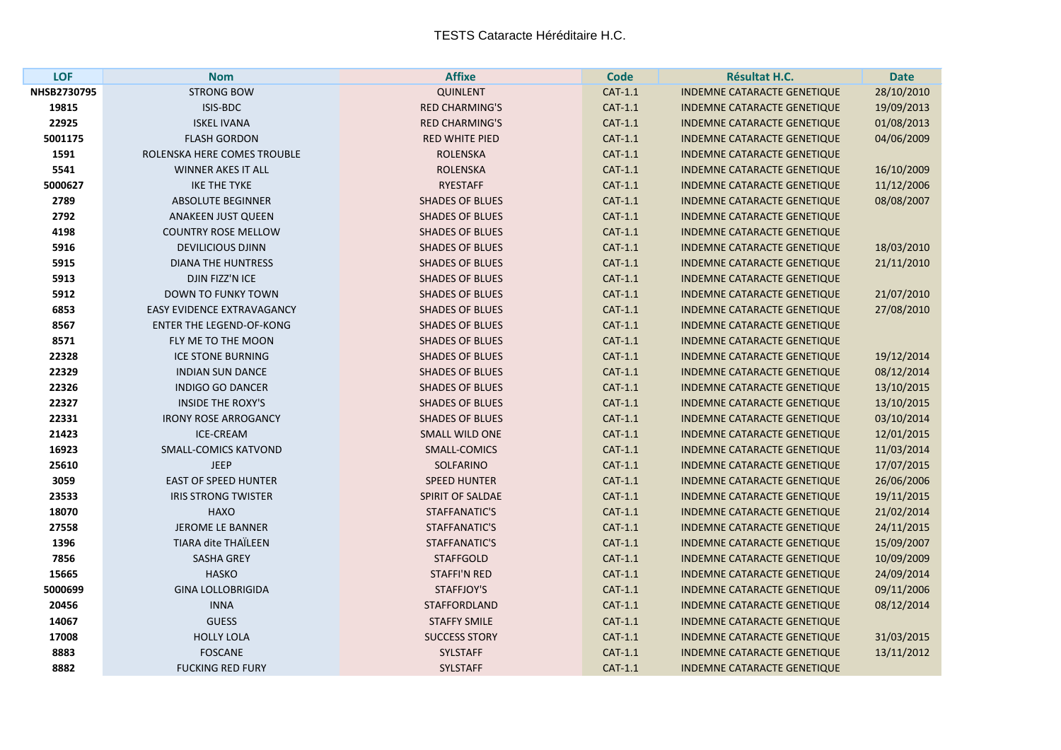| <b>LOF</b>  | <b>Nom</b>                        | <b>Affixe</b>          | <b>Code</b> | Résultat H.C.                      | <b>Date</b> |
|-------------|-----------------------------------|------------------------|-------------|------------------------------------|-------------|
| NHSB2730795 | <b>STRONG BOW</b>                 | <b>QUINLENT</b>        | CAT-1.1     | <b>INDEMNE CATARACTE GENETIQUE</b> | 28/10/2010  |
| 19815       | ISIS-BDC                          | <b>RED CHARMING'S</b>  | CAT-1.1     | <b>INDEMNE CATARACTE GENETIQUE</b> | 19/09/2013  |
| 22925       | <b>ISKEL IVANA</b>                | <b>RED CHARMING'S</b>  | CAT-1.1     | <b>INDEMNE CATARACTE GENETIQUE</b> | 01/08/2013  |
| 5001175     | <b>FLASH GORDON</b>               | <b>RED WHITE PIED</b>  | CAT-1.1     | <b>INDEMNE CATARACTE GENETIQUE</b> | 04/06/2009  |
| 1591        | ROLENSKA HERE COMES TROUBLE       | <b>ROLENSKA</b>        | CAT-1.1     | <b>INDEMNE CATARACTE GENETIQUE</b> |             |
| 5541        | <b>WINNER AKES IT ALL</b>         | <b>ROLENSKA</b>        | CAT-1.1     | INDEMNE CATARACTE GENETIQUE        | 16/10/2009  |
| 5000627     | <b>IKE THE TYKE</b>               | <b>RYESTAFF</b>        | CAT-1.1     | <b>INDEMNE CATARACTE GENETIQUE</b> | 11/12/2006  |
| 2789        | <b>ABSOLUTE BEGINNER</b>          | <b>SHADES OF BLUES</b> | CAT-1.1     | <b>INDEMNE CATARACTE GENETIQUE</b> | 08/08/2007  |
| 2792        | <b>ANAKEEN JUST QUEEN</b>         | <b>SHADES OF BLUES</b> | CAT-1.1     | INDEMNE CATARACTE GENETIQUE        |             |
| 4198        | <b>COUNTRY ROSE MELLOW</b>        | <b>SHADES OF BLUES</b> | CAT-1.1     | <b>INDEMNE CATARACTE GENETIQUE</b> |             |
| 5916        | <b>DEVILICIOUS DJINN</b>          | <b>SHADES OF BLUES</b> | CAT-1.1     | <b>INDEMNE CATARACTE GENETIQUE</b> | 18/03/2010  |
| 5915        | <b>DIANA THE HUNTRESS</b>         | <b>SHADES OF BLUES</b> | CAT-1.1     | INDEMNE CATARACTE GENETIQUE        | 21/11/2010  |
| 5913        | DJIN FIZZ'N ICE                   | <b>SHADES OF BLUES</b> | CAT-1.1     | <b>INDEMNE CATARACTE GENETIQUE</b> |             |
| 5912        | <b>DOWN TO FUNKY TOWN</b>         | <b>SHADES OF BLUES</b> | CAT-1.1     | <b>INDEMNE CATARACTE GENETIQUE</b> | 21/07/2010  |
| 6853        | <b>EASY EVIDENCE EXTRAVAGANCY</b> | <b>SHADES OF BLUES</b> | $CAT-1.1$   | INDEMNE CATARACTE GENETIQUE        | 27/08/2010  |
| 8567        | <b>ENTER THE LEGEND-OF-KONG</b>   | <b>SHADES OF BLUES</b> | CAT-1.1     | <b>INDEMNE CATARACTE GENETIQUE</b> |             |
| 8571        | FLY ME TO THE MOON                | <b>SHADES OF BLUES</b> | CAT-1.1     | <b>INDEMNE CATARACTE GENETIQUE</b> |             |
| 22328       | <b>ICE STONE BURNING</b>          | <b>SHADES OF BLUES</b> | CAT-1.1     | INDEMNE CATARACTE GENETIQUE        | 19/12/2014  |
| 22329       | <b>INDIAN SUN DANCE</b>           | <b>SHADES OF BLUES</b> | CAT-1.1     | INDEMNE CATARACTE GENETIQUE        | 08/12/2014  |
| 22326       | <b>INDIGO GO DANCER</b>           | <b>SHADES OF BLUES</b> | CAT-1.1     | <b>INDEMNE CATARACTE GENETIQUE</b> | 13/10/2015  |
| 22327       | <b>INSIDE THE ROXY'S</b>          | <b>SHADES OF BLUES</b> | CAT-1.1     | INDEMNE CATARACTE GENETIQUE        | 13/10/2015  |
| 22331       | <b>IRONY ROSE ARROGANCY</b>       | <b>SHADES OF BLUES</b> | CAT-1.1     | <b>INDEMNE CATARACTE GENETIQUE</b> | 03/10/2014  |
| 21423       | <b>ICE-CREAM</b>                  | <b>SMALL WILD ONE</b>  | CAT-1.1     | <b>INDEMNE CATARACTE GENETIQUE</b> | 12/01/2015  |
| 16923       | <b>SMALL-COMICS KATVOND</b>       | SMALL-COMICS           | CAT-1.1     | INDEMNE CATARACTE GENETIQUE        | 11/03/2014  |
| 25610       | <b>JEEP</b>                       | SOLFARINO              | CAT-1.1     | INDEMNE CATARACTE GENETIQUE        | 17/07/2015  |
| 3059        | <b>EAST OF SPEED HUNTER</b>       | <b>SPEED HUNTER</b>    | CAT-1.1     | <b>INDEMNE CATARACTE GENETIQUE</b> | 26/06/2006  |
| 23533       | <b>IRIS STRONG TWISTER</b>        | SPIRIT OF SALDAE       | CAT-1.1     | INDEMNE CATARACTE GENETIQUE        | 19/11/2015  |
| 18070       | <b>HAXO</b>                       | STAFFANATIC'S          | CAT-1.1     | INDEMNE CATARACTE GENETIQUE        | 21/02/2014  |
| 27558       | <b>JEROME LE BANNER</b>           | STAFFANATIC'S          | CAT-1.1     | <b>INDEMNE CATARACTE GENETIQUE</b> | 24/11/2015  |
| 1396        | <b>TIARA dite THAÏLEEN</b>        | STAFFANATIC'S          | CAT-1.1     | INDEMNE CATARACTE GENETIQUE        | 15/09/2007  |
| 7856        | <b>SASHA GREY</b>                 | <b>STAFFGOLD</b>       | CAT-1.1     | INDEMNE CATARACTE GENETIQUE        | 10/09/2009  |
| 15665       | <b>HASKO</b>                      | <b>STAFFI'N RED</b>    | CAT-1.1     | <b>INDEMNE CATARACTE GENETIQUE</b> | 24/09/2014  |
| 5000699     | <b>GINA LOLLOBRIGIDA</b>          | STAFFJOY'S             | CAT-1.1     | INDEMNE CATARACTE GENETIQUE        | 09/11/2006  |
| 20456       | <b>INNA</b>                       | <b>STAFFORDLAND</b>    | CAT-1.1     | INDEMNE CATARACTE GENETIQUE        | 08/12/2014  |
| 14067       | <b>GUESS</b>                      | <b>STAFFY SMILE</b>    | CAT-1.1     | <b>INDEMNE CATARACTE GENETIQUE</b> |             |
| 17008       | <b>HOLLY LOLA</b>                 | <b>SUCCESS STORY</b>   | CAT-1.1     | <b>INDEMNE CATARACTE GENETIQUE</b> | 31/03/2015  |
| 8883        | <b>FOSCANE</b>                    | <b>SYLSTAFF</b>        | CAT-1.1     | <b>INDEMNE CATARACTE GENETIQUE</b> | 13/11/2012  |
| 8882        | <b>FUCKING RED FURY</b>           | <b>SYLSTAFF</b>        | CAT-1.1     | <b>INDEMNE CATARACTE GENETIQUE</b> |             |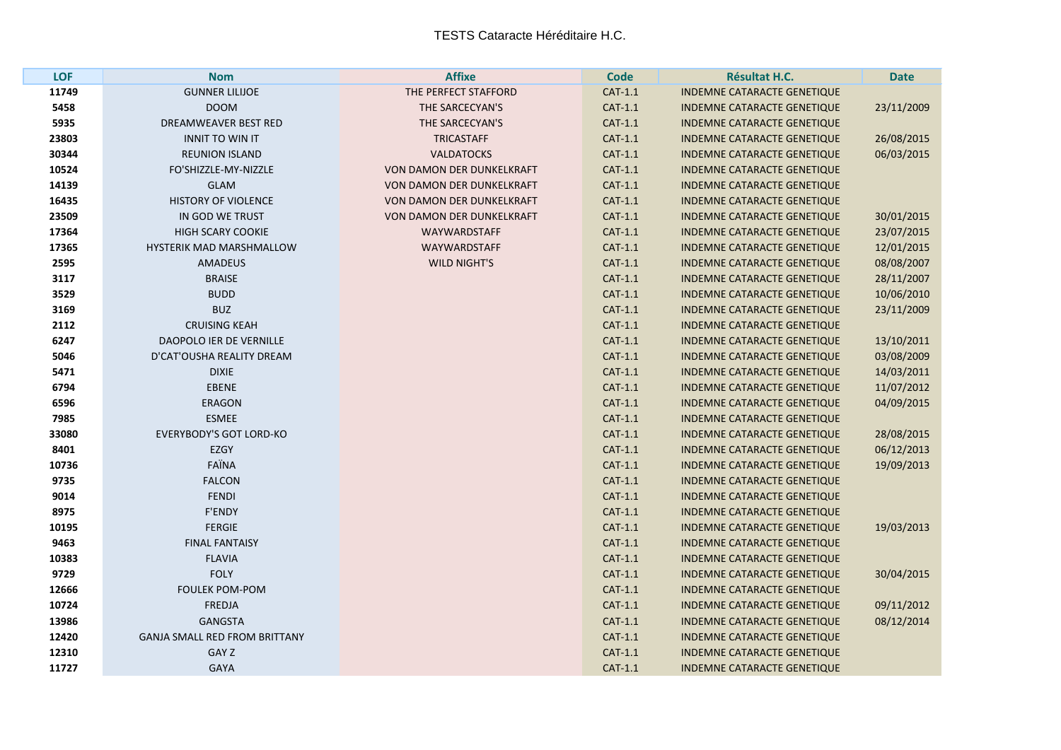| <b>LOF</b> | <b>Nom</b>                           | <b>Affixe</b>             | <b>Code</b> | Résultat H.C.                      | <b>Date</b> |
|------------|--------------------------------------|---------------------------|-------------|------------------------------------|-------------|
| 11749      | <b>GUNNER LILIJOE</b>                | THE PERFECT STAFFORD      | CAT-1.1     | <b>INDEMNE CATARACTE GENETIQUE</b> |             |
| 5458       | <b>DOOM</b>                          | THE SARCECYAN'S           | CAT-1.1     | INDEMNE CATARACTE GENETIQUE        | 23/11/2009  |
| 5935       | DREAMWEAVER BEST RED                 | THE SARCECYAN'S           | $CAT-1.1$   | <b>INDEMNE CATARACTE GENETIQUE</b> |             |
| 23803      | <b>INNIT TO WIN IT</b>               | <b>TRICASTAFF</b>         | CAT-1.1     | <b>INDEMNE CATARACTE GENETIQUE</b> | 26/08/2015  |
| 30344      | <b>REUNION ISLAND</b>                | <b>VALDATOCKS</b>         | CAT-1.1     | INDEMNE CATARACTE GENETIQUE        | 06/03/2015  |
| 10524      | FO'SHIZZLE-MY-NIZZLE                 | VON DAMON DER DUNKELKRAFT | $CAT-1.1$   | <b>INDEMNE CATARACTE GENETIQUE</b> |             |
| 14139      | <b>GLAM</b>                          | VON DAMON DER DUNKELKRAFT | CAT-1.1     | <b>INDEMNE CATARACTE GENETIQUE</b> |             |
| 16435      | <b>HISTORY OF VIOLENCE</b>           | VON DAMON DER DUNKELKRAFT | CAT-1.1     | <b>INDEMNE CATARACTE GENETIQUE</b> |             |
| 23509      | IN GOD WE TRUST                      | VON DAMON DER DUNKELKRAFT | CAT-1.1     | <b>INDEMNE CATARACTE GENETIQUE</b> | 30/01/2015  |
| 17364      | <b>HIGH SCARY COOKIE</b>             | <b>WAYWARDSTAFF</b>       | CAT-1.1     | <b>INDEMNE CATARACTE GENETIQUE</b> | 23/07/2015  |
| 17365      | HYSTERIK MAD MARSHMALLOW             | <b>WAYWARDSTAFF</b>       | CAT-1.1     | <b>INDEMNE CATARACTE GENETIQUE</b> | 12/01/2015  |
| 2595       | <b>AMADEUS</b>                       | <b>WILD NIGHT'S</b>       | $CAT-1.1$   | <b>INDEMNE CATARACTE GENETIQUE</b> | 08/08/2007  |
| 3117       | <b>BRAISE</b>                        |                           | CAT-1.1     | <b>INDEMNE CATARACTE GENETIQUE</b> | 28/11/2007  |
| 3529       | <b>BUDD</b>                          |                           | CAT-1.1     | INDEMNE CATARACTE GENETIQUE        | 10/06/2010  |
| 3169       | <b>BUZ</b>                           |                           | CAT-1.1     | <b>INDEMNE CATARACTE GENETIQUE</b> | 23/11/2009  |
| 2112       | <b>CRUISING KEAH</b>                 |                           | CAT-1.1     | <b>INDEMNE CATARACTE GENETIQUE</b> |             |
| 6247       | DAOPOLO IER DE VERNILLE              |                           | CAT-1.1     | INDEMNE CATARACTE GENETIQUE        | 13/10/2011  |
| 5046       | D'CAT'OUSHA REALITY DREAM            |                           | CAT-1.1     | <b>INDEMNE CATARACTE GENETIQUE</b> | 03/08/2009  |
| 5471       | <b>DIXIE</b>                         |                           | CAT-1.1     | <b>INDEMNE CATARACTE GENETIQUE</b> | 14/03/2011  |
| 6794       | <b>EBENE</b>                         |                           | CAT-1.1     | INDEMNE CATARACTE GENETIQUE        | 11/07/2012  |
| 6596       | <b>ERAGON</b>                        |                           | CAT-1.1     | <b>INDEMNE CATARACTE GENETIQUE</b> | 04/09/2015  |
| 7985       | <b>ESMEE</b>                         |                           | $CAT-1.1$   | INDEMNE CATARACTE GENETIQUE        |             |
| 33080      | <b>EVERYBODY'S GOT LORD-KO</b>       |                           | $CAT-1.1$   | <b>INDEMNE CATARACTE GENETIQUE</b> | 28/08/2015  |
| 8401       | <b>EZGY</b>                          |                           | CAT-1.1     | <b>INDEMNE CATARACTE GENETIQUE</b> | 06/12/2013  |
| 10736      | FAÏNA                                |                           | CAT-1.1     | <b>INDEMNE CATARACTE GENETIQUE</b> | 19/09/2013  |
| 9735       | <b>FALCON</b>                        |                           | CAT-1.1     | <b>INDEMNE CATARACTE GENETIQUE</b> |             |
| 9014       | <b>FENDI</b>                         |                           | CAT-1.1     | <b>INDEMNE CATARACTE GENETIQUE</b> |             |
| 8975       | F'ENDY                               |                           | $CAT-1.1$   | <b>INDEMNE CATARACTE GENETIQUE</b> |             |
| 10195      | <b>FERGIE</b>                        |                           | CAT-1.1     | <b>INDEMNE CATARACTE GENETIQUE</b> | 19/03/2013  |
| 9463       | <b>FINAL FANTAISY</b>                |                           | CAT-1.1     | <b>INDEMNE CATARACTE GENETIQUE</b> |             |
| 10383      | <b>FLAVIA</b>                        |                           | CAT-1.1     | INDEMNE CATARACTE GENETIQUE        |             |
| 9729       | <b>FOLY</b>                          |                           | CAT-1.1     | <b>INDEMNE CATARACTE GENETIQUE</b> | 30/04/2015  |
| 12666      | <b>FOULEK POM-POM</b>                |                           | CAT-1.1     | <b>INDEMNE CATARACTE GENETIQUE</b> |             |
| 10724      | <b>FREDJA</b>                        |                           | $CAT-1.1$   | <b>INDEMNE CATARACTE GENETIQUE</b> | 09/11/2012  |
| 13986      | <b>GANGSTA</b>                       |                           | CAT-1.1     | <b>INDEMNE CATARACTE GENETIQUE</b> | 08/12/2014  |
| 12420      | <b>GANJA SMALL RED FROM BRITTANY</b> |                           | CAT-1.1     | <b>INDEMNE CATARACTE GENETIQUE</b> |             |
| 12310      | <b>GAY Z</b>                         |                           | CAT-1.1     | INDEMNE CATARACTE GENETIQUE        |             |
| 11727      | <b>GAYA</b>                          |                           | CAT-1.1     | <b>INDEMNE CATARACTE GENETIQUE</b> |             |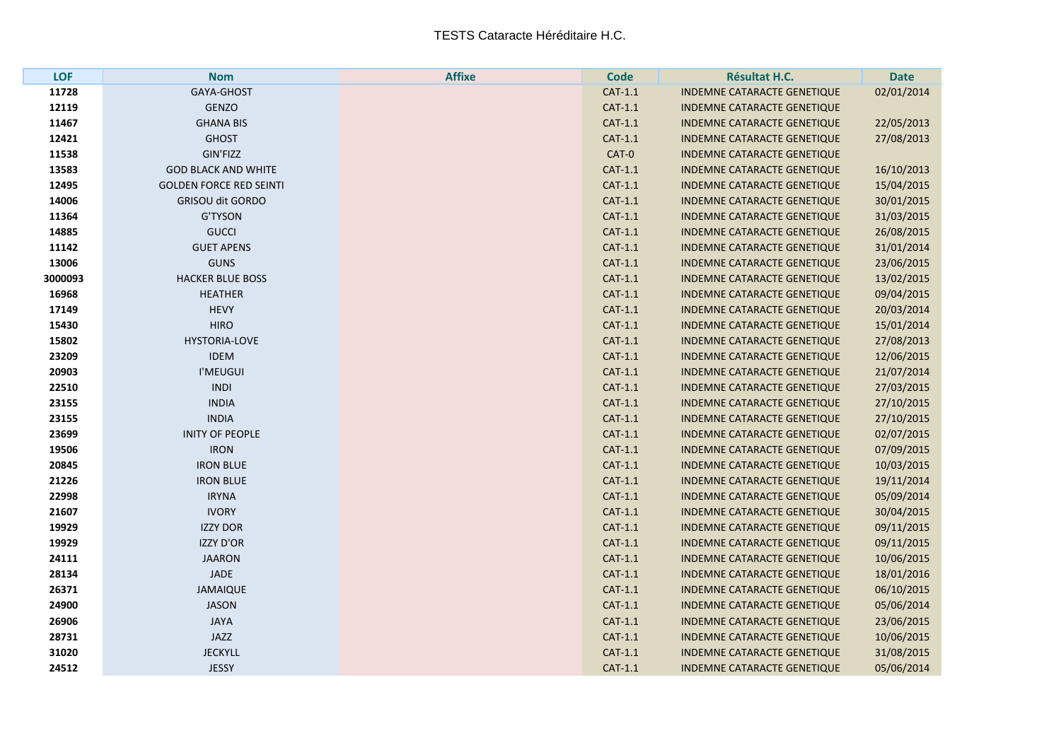| <b>LOF</b> | <b>Nom</b>                     | <b>Affixe</b> | <b>Code</b> | Résultat H.C.                      | <b>Date</b> |
|------------|--------------------------------|---------------|-------------|------------------------------------|-------------|
| 11728      | GAYA-GHOST                     |               | CAT-1.1     | INDEMNE CATARACTE GENETIQUE        | 02/01/2014  |
| 12119      | <b>GENZO</b>                   |               | CAT-1.1     | <b>INDEMNE CATARACTE GENETIQUE</b> |             |
| 11467      | <b>GHANA BIS</b>               |               | CAT-1.1     | <b>INDEMNE CATARACTE GENETIQUE</b> | 22/05/2013  |
| 12421      | <b>GHOST</b>                   |               | $CAT-1.1$   | <b>INDEMNE CATARACTE GENETIQUE</b> | 27/08/2013  |
| 11538      | GIN'FIZZ                       |               | CAT-0       | <b>INDEMNE CATARACTE GENETIQUE</b> |             |
| 13583      | <b>GOD BLACK AND WHITE</b>     |               | CAT-1.1     | <b>INDEMNE CATARACTE GENETIQUE</b> | 16/10/2013  |
| 12495      | <b>GOLDEN FORCE RED SEINTI</b> |               | $CAT-1.1$   | INDEMNE CATARACTE GENETIQUE        | 15/04/2015  |
| 14006      | <b>GRISOU dit GORDO</b>        |               | $CAT-1.1$   | <b>INDEMNE CATARACTE GENETIQUE</b> | 30/01/2015  |
| 11364      | <b>G'TYSON</b>                 |               | CAT-1.1     | <b>INDEMNE CATARACTE GENETIQUE</b> | 31/03/2015  |
| 14885      | <b>GUCCI</b>                   |               | CAT-1.1     | <b>INDEMNE CATARACTE GENETIQUE</b> | 26/08/2015  |
| 11142      | <b>GUET APENS</b>              |               | CAT-1.1     | INDEMNE CATARACTE GENETIQUE        | 31/01/2014  |
| 13006      | <b>GUNS</b>                    |               | CAT-1.1     | INDEMNE CATARACTE GENETIQUE        | 23/06/2015  |
| 3000093    | <b>HACKER BLUE BOSS</b>        |               | CAT-1.1     | <b>INDEMNE CATARACTE GENETIQUE</b> | 13/02/2015  |
| 16968      | <b>HEATHER</b>                 |               | CAT-1.1     | <b>INDEMNE CATARACTE GENETIQUE</b> | 09/04/2015  |
| 17149      | <b>HEVY</b>                    |               | $CAT-1.1$   | <b>INDEMNE CATARACTE GENETIQUE</b> | 20/03/2014  |
| 15430      | <b>HIRO</b>                    |               | CAT-1.1     | <b>INDEMNE CATARACTE GENETIQUE</b> | 15/01/2014  |
| 15802      | <b>HYSTORIA-LOVE</b>           |               | CAT-1.1     | <b>INDEMNE CATARACTE GENETIQUE</b> | 27/08/2013  |
| 23209      | <b>IDEM</b>                    |               | CAT-1.1     | INDEMNE CATARACTE GENETIQUE        | 12/06/2015  |
| 20903      | I'MEUGUI                       |               | CAT-1.1     | <b>INDEMNE CATARACTE GENETIQUE</b> | 21/07/2014  |
| 22510      | <b>INDI</b>                    |               | CAT-1.1     | <b>INDEMNE CATARACTE GENETIQUE</b> | 27/03/2015  |
| 23155      | <b>INDIA</b>                   |               | CAT-1.1     | <b>INDEMNE CATARACTE GENETIQUE</b> | 27/10/2015  |
| 23155      | <b>INDIA</b>                   |               | $CAT-1.1$   | INDEMNE CATARACTE GENETIQUE        | 27/10/2015  |
| 23699      | <b>INITY OF PEOPLE</b>         |               | CAT-1.1     | <b>INDEMNE CATARACTE GENETIQUE</b> | 02/07/2015  |
| 19506      | <b>IRON</b>                    |               | CAT-1.1     | <b>INDEMNE CATARACTE GENETIQUE</b> | 07/09/2015  |
| 20845      | <b>IRON BLUE</b>               |               | $CAT-1.1$   | <b>INDEMNE CATARACTE GENETIQUE</b> | 10/03/2015  |
| 21226      | <b>IRON BLUE</b>               |               | CAT-1.1     | <b>INDEMNE CATARACTE GENETIQUE</b> | 19/11/2014  |
| 22998      | <b>IRYNA</b>                   |               | CAT-1.1     | <b>INDEMNE CATARACTE GENETIQUE</b> | 05/09/2014  |
| 21607      | <b>IVORY</b>                   |               | CAT-1.1     | <b>INDEMNE CATARACTE GENETIQUE</b> | 30/04/2015  |
| 19929      | <b>IZZY DOR</b>                |               | CAT-1.1     | INDEMNE CATARACTE GENETIQUE        | 09/11/2015  |
| 19929      | <b>IZZY D'OR</b>               |               | $CAT-1.1$   | <b>INDEMNE CATARACTE GENETIQUE</b> | 09/11/2015  |
| 24111      | <b>JAARON</b>                  |               | CAT-1.1     | <b>INDEMNE CATARACTE GENETIQUE</b> | 10/06/2015  |
| 28134      | <b>JADE</b>                    |               | CAT-1.1     | INDEMNE CATARACTE GENETIQUE        | 18/01/2016  |
| 26371      | <b>JAMAIQUE</b>                |               | $CAT-1.1$   | INDEMNE CATARACTE GENETIQUE        | 06/10/2015  |
| 24900      | <b>JASON</b>                   |               | CAT-1.1     | <b>INDEMNE CATARACTE GENETIQUE</b> | 05/06/2014  |
| 26906      | <b>JAYA</b>                    |               | CAT-1.1     | <b>INDEMNE CATARACTE GENETIQUE</b> | 23/06/2015  |
| 28731      | JAZZ                           |               | CAT-1.1     | INDEMNE CATARACTE GENETIQUE        | 10/06/2015  |
| 31020      | <b>JECKYLL</b>                 |               | $CAT-1.1$   | <b>INDEMNE CATARACTE GENETIQUE</b> | 31/08/2015  |
| 24512      | <b>JESSY</b>                   |               | CAT-1.1     | <b>INDEMNE CATARACTE GENETIQUE</b> | 05/06/2014  |